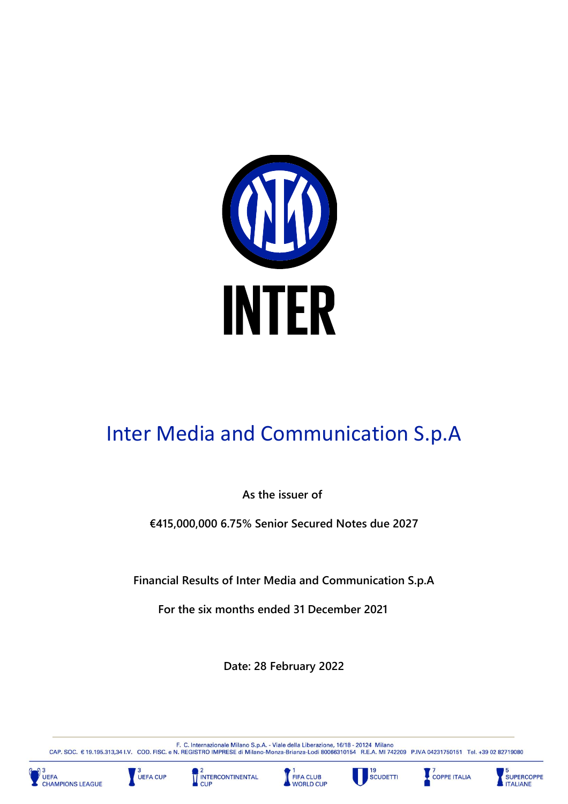

# Inter Media and Communication S.p.A

**As the issuer of**

**€415,000,000 6.75% Senior Secured Notes due 2027**

**Financial Results of Inter Media and Communication S.p.A**

**For the six months ended 31 December 2021** 

**Date: 28 February 2022**

F. C. Internazionale Milano S.p.A. - Viale della Liberazione, 16/18 - 20124 Milano<br>CAP. SOC. € 19.195.313,34 I.V. COD. FISC. e N. REGISTRO IMPRESE di Milano-Monza-Brianza-Lodi 80066310154 R.E.A. MI 742209 P.IVA 0423175015











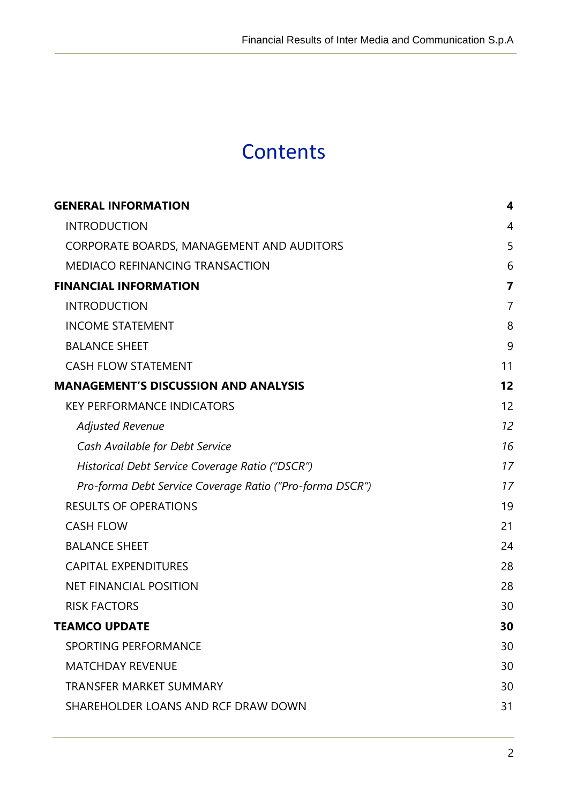# **Contents**

j

| <b>GENERAL INFORMATION</b>                               | 4              |
|----------------------------------------------------------|----------------|
| <b>INTRODUCTION</b>                                      | 4              |
| CORPORATE BOARDS, MANAGEMENT AND AUDITORS                | 5              |
| <b>MEDIACO REFINANCING TRANSACTION</b>                   | 6              |
| <b>FINANCIAL INFORMATION</b>                             | $\overline{7}$ |
| <b>INTRODUCTION</b>                                      | $\overline{7}$ |
| <b>INCOME STATEMENT</b>                                  | 8              |
| <b>BALANCE SHEET</b>                                     | 9              |
| <b>CASH FLOW STATEMENT</b>                               | 11             |
| <b>MANAGEMENT'S DISCUSSION AND ANALYSIS</b>              | 12             |
| <b>KEY PERFORMANCE INDICATORS</b>                        | 12             |
| <b>Adjusted Revenue</b>                                  | 12             |
| Cash Available for Debt Service                          | 16             |
| Historical Debt Service Coverage Ratio ("DSCR")          | 17             |
| Pro-forma Debt Service Coverage Ratio ("Pro-forma DSCR") | 17             |
| <b>RESULTS OF OPERATIONS</b>                             | 19             |
| <b>CASH FLOW</b>                                         | 21             |
| <b>BALANCE SHEET</b>                                     | 24             |
| <b>CAPITAL EXPENDITURES</b>                              | 28             |
| <b>NET FINANCIAL POSITION</b>                            | 28             |
| <b>RISK FACTORS</b>                                      | 30             |
| <b>TEAMCO UPDATE</b>                                     | 30             |
| <b>SPORTING PERFORMANCE</b>                              | 30             |
| <b>MATCHDAY REVENUE</b>                                  | 30             |
| <b>TRANSFER MARKET SUMMARY</b>                           | 30             |
| SHAREHOLDER LOANS AND RCF DRAW DOWN                      | 31             |
|                                                          |                |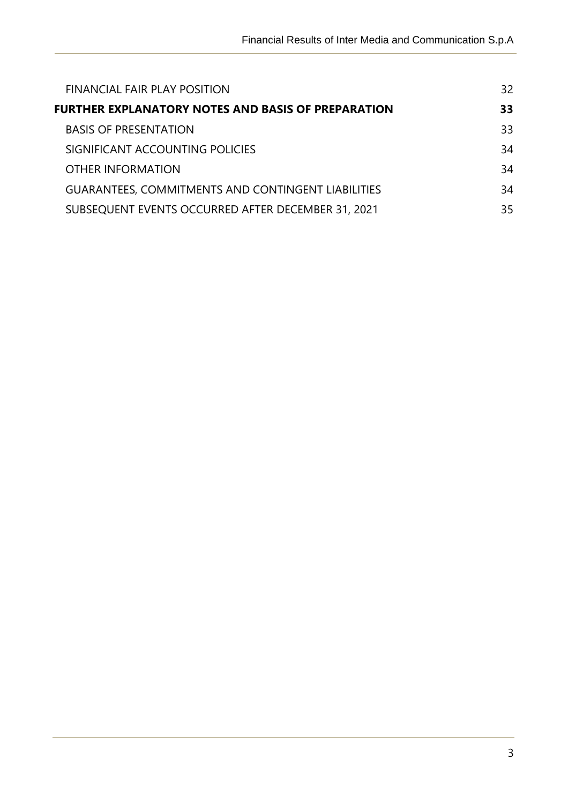| <b>FINANCIAL FAIR PLAY POSITION</b>                       | 32 |
|-----------------------------------------------------------|----|
| <b>FURTHER EXPLANATORY NOTES AND BASIS OF PREPARATION</b> | 33 |
| <b>BASIS OF PRESENTATION</b>                              | 33 |
| SIGNIFICANT ACCOUNTING POLICIES                           | 34 |
| OTHER INFORMATION                                         | 34 |
| <b>GUARANTEES, COMMITMENTS AND CONTINGENT LIABILITIES</b> | 34 |
| SUBSEQUENT EVENTS OCCURRED AFTER DECEMBER 31, 2021        | 35 |

j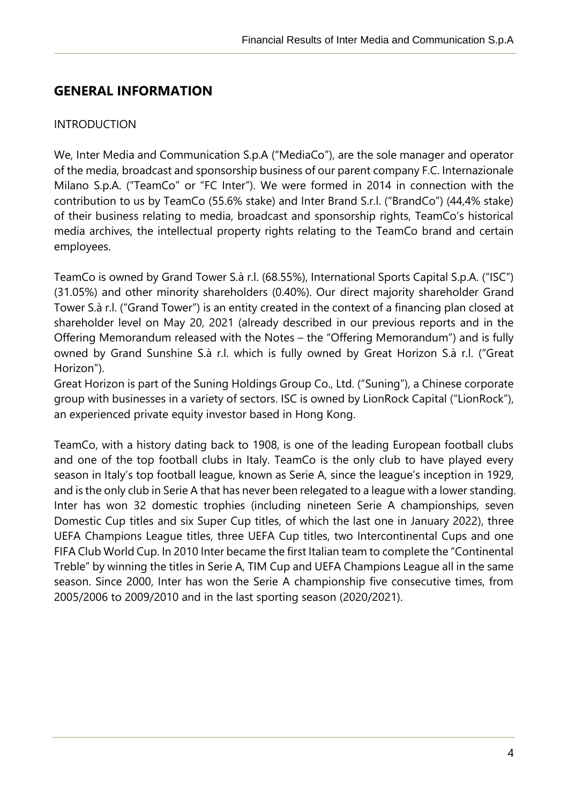# <span id="page-3-0"></span>**GENERAL INFORMATION**

#### <span id="page-3-1"></span>INTRODUCTION

j

We, Inter Media and Communication S.p.A ("MediaCo"), are the sole manager and operator of the media, broadcast and sponsorship business of our parent company F.C. Internazionale Milano S.p.A. ("TeamCo" or "FC Inter"). We were formed in 2014 in connection with the contribution to us by TeamCo (55.6% stake) and Inter Brand S.r.l. ("BrandCo") (44,4% stake) of their business relating to media, broadcast and sponsorship rights, TeamCo's historical media archives, the intellectual property rights relating to the TeamCo brand and certain employees.

TeamCo is owned by Grand Tower S.à r.l. (68.55%), International Sports Capital S.p.A. ("ISC") (31.05%) and other minority shareholders (0.40%). Our direct majority shareholder Grand Tower S.à r.l. ("Grand Tower") is an entity created in the context of a financing plan closed at shareholder level on May 20, 2021 (already described in our previous reports and in the Offering Memorandum released with the Notes – the "Offering Memorandum") and is fully owned by Grand Sunshine S.à r.l. which is fully owned by Great Horizon S.à r.l. ("Great Horizon").

Great Horizon is part of the Suning Holdings Group Co., Ltd. ("Suning"), a Chinese corporate group with businesses in a variety of sectors. ISC is owned by LionRock Capital ("LionRock"), an experienced private equity investor based in Hong Kong.

TeamCo, with a history dating back to 1908, is one of the leading European football clubs and one of the top football clubs in Italy. TeamCo is the only club to have played every season in Italy's top football league, known as Serie A, since the league's inception in 1929, and is the only club in Serie A that has never been relegated to a league with a lower standing. Inter has won 32 domestic trophies (including nineteen Serie A championships, seven Domestic Cup titles and six Super Cup titles, of which the last one in January 2022), three UEFA Champions League titles, three UEFA Cup titles, two Intercontinental Cups and one FIFA Club World Cup. In 2010 Inter became the first Italian team to complete the "Continental Treble" by winning the titles in Serie A, TIM Cup and UEFA Champions League all in the same season. Since 2000, Inter has won the Serie A championship five consecutive times, from 2005/2006 to 2009/2010 and in the last sporting season (2020/2021).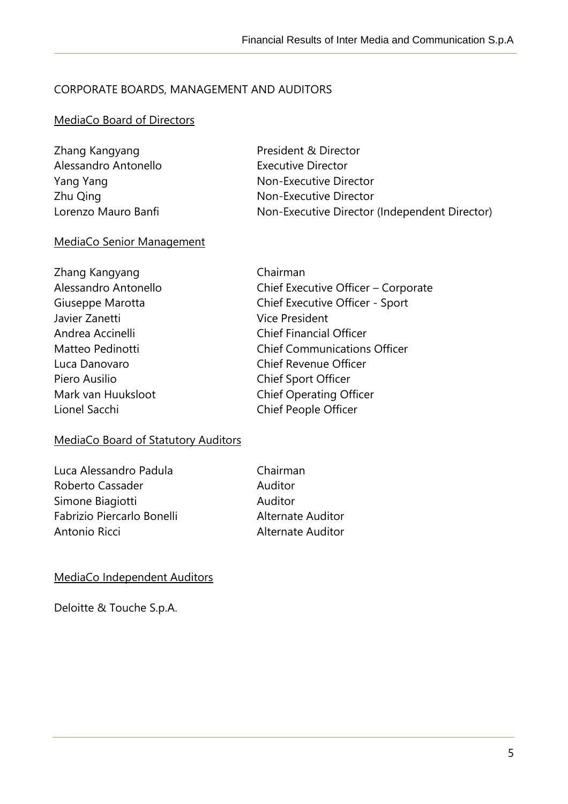## <span id="page-4-0"></span>CORPORATE BOARDS, MANAGEMENT AND AUDITORS

#### MediaCo Board of Directors

j

| Zhang Kangyang       | President & Director                          |
|----------------------|-----------------------------------------------|
| Alessandro Antonello | <b>Executive Director</b>                     |
| Yang Yang            | Non-Executive Director                        |
| Zhu Qing             | Non-Executive Director                        |
| Lorenzo Mauro Banfi  | Non-Executive Director (Independent Director) |

#### MediaCo Senior Management

| Zhang Kangyang       | Chairman                            |
|----------------------|-------------------------------------|
| Alessandro Antonello | Chief Executive Officer - Corporate |
| Giuseppe Marotta     | Chief Executive Officer - Sport     |
| Javier Zanetti       | <b>Vice President</b>               |
| Andrea Accinelli     | <b>Chief Financial Officer</b>      |
| Matteo Pedinotti     | <b>Chief Communications Officer</b> |
| Luca Danovaro        | <b>Chief Revenue Officer</b>        |
| Piero Ausilio        | Chief Sport Officer                 |
| Mark van Huuksloot   | <b>Chief Operating Officer</b>      |
| Lionel Sacchi        | Chief People Officer                |
|                      |                                     |

# MediaCo Board of Statutory Auditors

| Luca Alessandro Padula     |
|----------------------------|
| Roberto Cassader           |
| Simone Biagiotti           |
| Fabrizio Piercarlo Bonelli |
| Antonio Ricci              |

Chairman Auditor Auditor Alternate Auditor Alternate Auditor

#### MediaCo Independent Auditors

Deloitte & Touche S.p.A.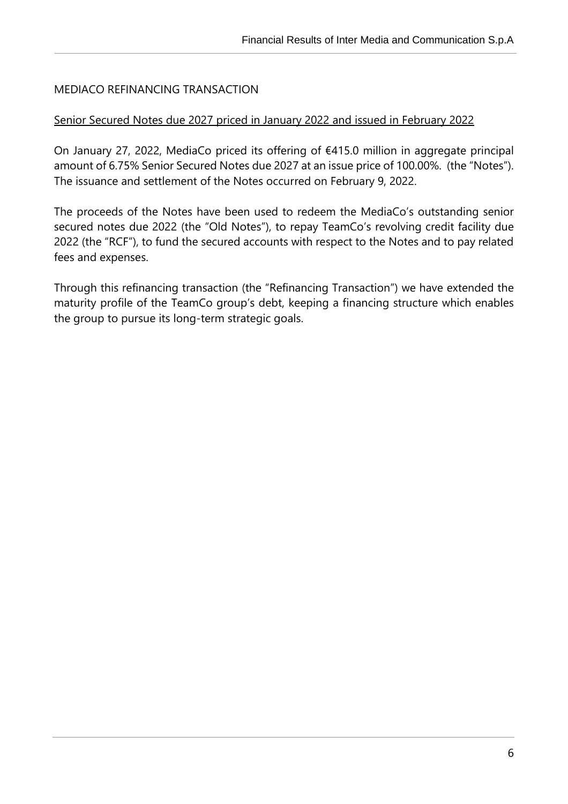# <span id="page-5-0"></span>MEDIACO REFINANCING TRANSACTION

j

#### Senior Secured Notes due 2027 priced in January 2022 and issued in February 2022

On January 27, 2022, MediaCo priced its offering of €415.0 million in aggregate principal amount of 6.75% Senior Secured Notes due 2027 at an issue price of 100.00%. (the "Notes"). The issuance and settlement of the Notes occurred on February 9, 2022.

The proceeds of the Notes have been used to redeem the MediaCo's outstanding senior secured notes due 2022 (the "Old Notes"), to repay TeamCo's revolving credit facility due 2022 (the "RCF"), to fund the secured accounts with respect to the Notes and to pay related fees and expenses.

Through this refinancing transaction (the "Refinancing Transaction") we have extended the maturity profile of the TeamCo group's debt, keeping a financing structure which enables the group to pursue its long-term strategic goals.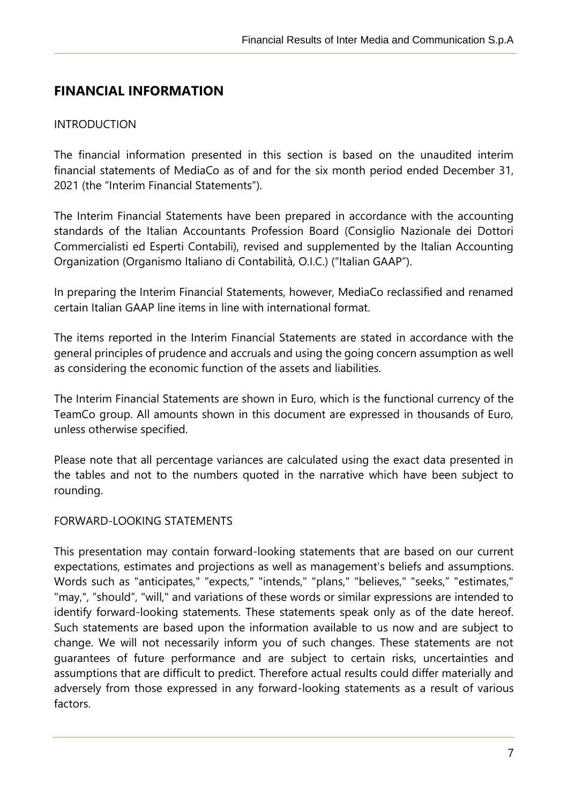# <span id="page-6-0"></span>**FINANCIAL INFORMATION**

#### <span id="page-6-1"></span>INTRODUCTION

j

The financial information presented in this section is based on the unaudited interim financial statements of MediaCo as of and for the six month period ended December 31, 2021 (the "Interim Financial Statements").

The Interim Financial Statements have been prepared in accordance with the accounting standards of the Italian Accountants Profession Board (Consiglio Nazionale dei Dottori Commercialisti ed Esperti Contabili), revised and supplemented by the Italian Accounting Organization (Organismo Italiano di Contabilità, O.I.C.) ("Italian GAAP").

In preparing the Interim Financial Statements, however, MediaCo reclassified and renamed certain Italian GAAP line items in line with international format.

The items reported in the Interim Financial Statements are stated in accordance with the general principles of prudence and accruals and using the going concern assumption as well as considering the economic function of the assets and liabilities.

The Interim Financial Statements are shown in Euro, which is the functional currency of the TeamCo group. All amounts shown in this document are expressed in thousands of Euro, unless otherwise specified.

Please note that all percentage variances are calculated using the exact data presented in the tables and not to the numbers quoted in the narrative which have been subject to rounding.

#### FORWARD-LOOKING STATEMENTS

This presentation may contain forward-looking statements that are based on our current expectations, estimates and projections as well as management's beliefs and assumptions. Words such as "anticipates," "expects," "intends," "plans," "believes," "seeks," "estimates," "may,", "should", "will," and variations of these words or similar expressions are intended to identify forward-looking statements. These statements speak only as of the date hereof. Such statements are based upon the information available to us now and are subject to change. We will not necessarily inform you of such changes. These statements are not guarantees of future performance and are subject to certain risks, uncertainties and assumptions that are difficult to predict. Therefore actual results could differ materially and adversely from those expressed in any forward-looking statements as a result of various factors.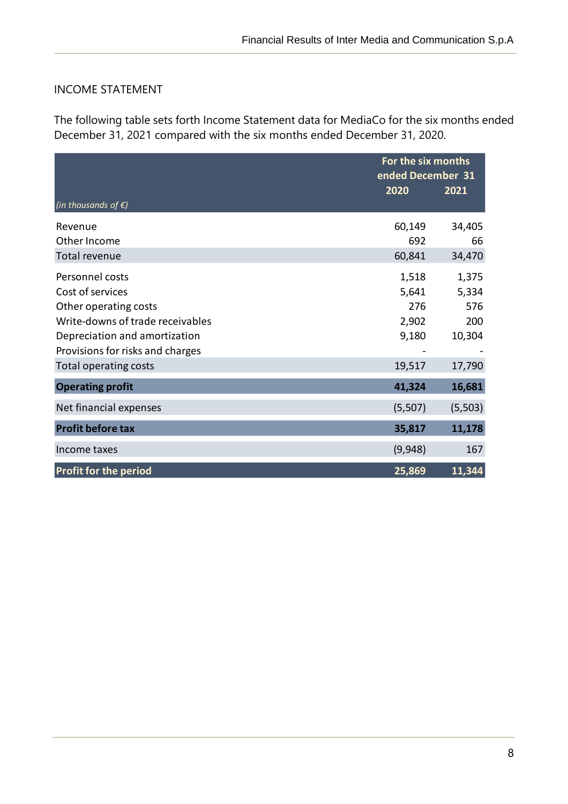# <span id="page-7-0"></span>INCOME STATEMENT

j

The following table sets forth Income Statement data for MediaCo for the six months ended December 31, 2021 compared with the six months ended December 31, 2020.

|                                  | For the six months<br>ended December 31 |          |  |
|----------------------------------|-----------------------------------------|----------|--|
| (in thousands of $\xi$ )         | 2020                                    | 2021     |  |
|                                  |                                         |          |  |
| Revenue                          | 60,149                                  | 34,405   |  |
| Other Income                     | 692                                     | 66       |  |
| Total revenue                    | 60,841                                  | 34,470   |  |
| Personnel costs                  | 1,518                                   | 1,375    |  |
| Cost of services                 | 5,641                                   | 5,334    |  |
| Other operating costs            | 276                                     | 576      |  |
| Write-downs of trade receivables | 2,902                                   | 200      |  |
| Depreciation and amortization    | 9,180                                   | 10,304   |  |
| Provisions for risks and charges |                                         |          |  |
| Total operating costs            | 19,517                                  | 17,790   |  |
| <b>Operating profit</b>          | 41,324                                  | 16,681   |  |
| Net financial expenses           | (5,507)                                 | (5, 503) |  |
| <b>Profit before tax</b>         | 35,817                                  | 11,178   |  |
| Income taxes                     | (9,948)                                 | 167      |  |
| <b>Profit for the period</b>     | 25,869                                  | 11,344   |  |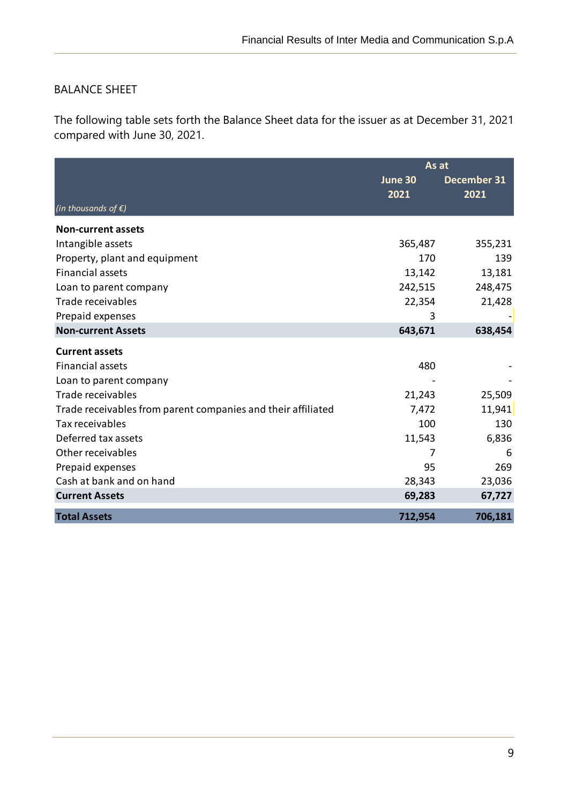## <span id="page-8-0"></span>BALANCE SHEET

j

The following table sets forth the Balance Sheet data for the issuer as at December 31, 2021 compared with June 30, 2021.

|                                                              | As at   |             |  |
|--------------------------------------------------------------|---------|-------------|--|
|                                                              | June 30 | December 31 |  |
|                                                              | 2021    | 2021        |  |
| (in thousands of $\xi$ )                                     |         |             |  |
| <b>Non-current assets</b>                                    |         |             |  |
| Intangible assets                                            | 365,487 | 355,231     |  |
| Property, plant and equipment                                | 170     | 139         |  |
| <b>Financial assets</b>                                      | 13,142  | 13,181      |  |
| Loan to parent company                                       | 242,515 | 248,475     |  |
| Trade receivables                                            | 22,354  | 21,428      |  |
| Prepaid expenses                                             | 3       |             |  |
| <b>Non-current Assets</b>                                    | 643,671 | 638,454     |  |
| <b>Current assets</b>                                        |         |             |  |
| <b>Financial assets</b>                                      | 480     |             |  |
| Loan to parent company                                       |         |             |  |
| Trade receivables                                            | 21,243  | 25,509      |  |
| Trade receivables from parent companies and their affiliated | 7,472   | 11,941      |  |
| Tax receivables                                              | 100     | 130         |  |
| Deferred tax assets                                          | 11,543  | 6,836       |  |
| Other receivables                                            | 7       | 6           |  |
| Prepaid expenses                                             | 95      | 269         |  |
| Cash at bank and on hand                                     | 28,343  | 23,036      |  |
| <b>Current Assets</b>                                        | 69,283  | 67,727      |  |
| <b>Total Assets</b>                                          | 712,954 | 706,181     |  |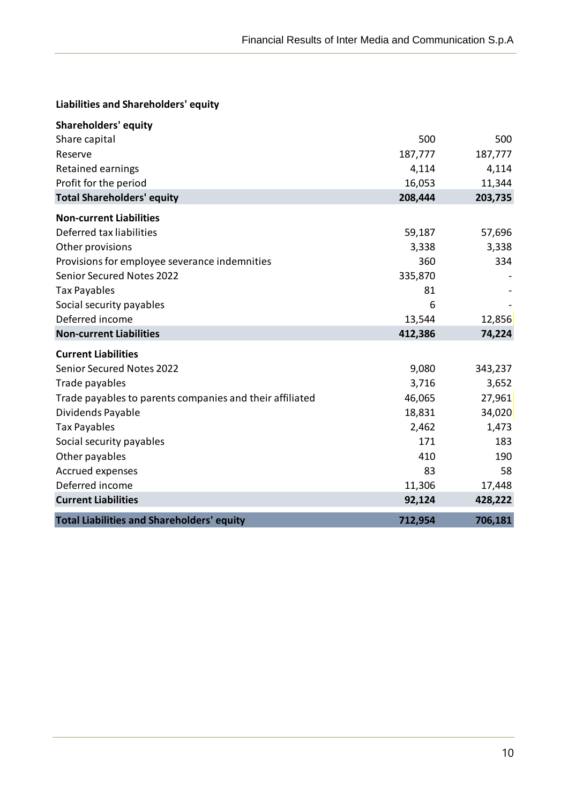#### **Liabilities and Shareholders' equity**

j

| <b>Shareholders' equity</b>                              |         |         |
|----------------------------------------------------------|---------|---------|
| Share capital                                            | 500     | 500     |
| Reserve                                                  | 187,777 | 187,777 |
| <b>Retained earnings</b>                                 | 4,114   | 4,114   |
| Profit for the period                                    | 16,053  | 11,344  |
| <b>Total Shareholders' equity</b>                        | 208,444 | 203,735 |
| <b>Non-current Liabilities</b>                           |         |         |
| Deferred tax liabilities                                 | 59,187  | 57,696  |
| Other provisions                                         | 3,338   | 3,338   |
| Provisions for employee severance indemnities            | 360     | 334     |
| <b>Senior Secured Notes 2022</b>                         | 335,870 |         |
| <b>Tax Payables</b>                                      | 81      |         |
| Social security payables                                 | 6       |         |
| Deferred income                                          | 13,544  | 12,856  |
| <b>Non-current Liabilities</b>                           | 412,386 | 74,224  |
| <b>Current Liabilities</b>                               |         |         |
| <b>Senior Secured Notes 2022</b>                         | 9,080   | 343,237 |
| Trade payables                                           | 3,716   | 3,652   |
| Trade payables to parents companies and their affiliated | 46,065  | 27,961  |
| Dividends Payable                                        | 18,831  | 34,020  |
| <b>Tax Payables</b>                                      | 2,462   | 1,473   |
| Social security payables                                 | 171     | 183     |
| Other payables                                           | 410     | 190     |
| Accrued expenses                                         | 83      | 58      |
| Deferred income                                          | 11,306  | 17,448  |
| <b>Current Liabilities</b>                               | 92,124  | 428,222 |
| <b>Total Liabilities and Shareholders' equity</b>        | 712,954 | 706,181 |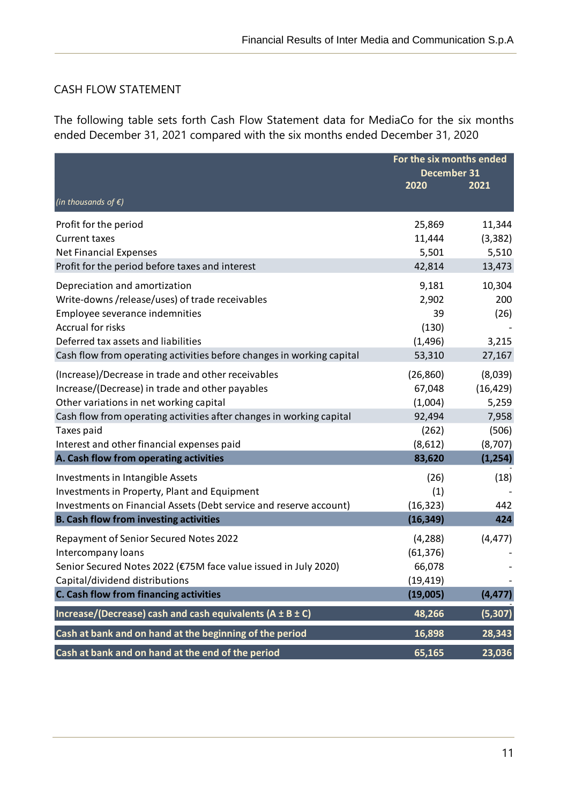## <span id="page-10-0"></span>CASH FLOW STATEMENT

j

The following table sets forth Cash Flow Statement data for MediaCo for the six months ended December 31, 2021 compared with the six months ended December 31, 2020

|                                                                                                                                                                                                                                                                                                                                | For the six months ended<br>December 31                                |                                                                        |
|--------------------------------------------------------------------------------------------------------------------------------------------------------------------------------------------------------------------------------------------------------------------------------------------------------------------------------|------------------------------------------------------------------------|------------------------------------------------------------------------|
| (in thousands of $\epsilon$ )                                                                                                                                                                                                                                                                                                  | 2020                                                                   | 2021                                                                   |
| Profit for the period<br><b>Current taxes</b>                                                                                                                                                                                                                                                                                  | 25,869<br>11,444                                                       | 11,344<br>(3, 382)                                                     |
| <b>Net Financial Expenses</b><br>Profit for the period before taxes and interest                                                                                                                                                                                                                                               | 5,501<br>42,814                                                        | 5,510<br>13,473                                                        |
| Depreciation and amortization<br>Write-downs /release/uses) of trade receivables<br>Employee severance indemnities<br><b>Accrual for risks</b><br>Deferred tax assets and liabilities<br>Cash flow from operating activities before changes in working capital                                                                 | 9,181<br>2,902<br>39<br>(130)<br>(1, 496)<br>53,310                    | 10,304<br>200<br>(26)<br>3,215<br>27,167                               |
| (Increase)/Decrease in trade and other receivables<br>Increase/(Decrease) in trade and other payables<br>Other variations in net working capital<br>Cash flow from operating activities after changes in working capital<br>Taxes paid<br>Interest and other financial expenses paid<br>A. Cash flow from operating activities | (26, 860)<br>67,048<br>(1,004)<br>92,494<br>(262)<br>(8,612)<br>83,620 | (8,039)<br>(16, 429)<br>5,259<br>7,958<br>(506)<br>(8,707)<br>(1, 254) |
| Investments in Intangible Assets<br>Investments in Property, Plant and Equipment<br>Investments on Financial Assets (Debt service and reserve account)<br><b>B. Cash flow from investing activities</b>                                                                                                                        | (26)<br>(1)<br>(16, 323)<br>(16, 349)                                  | (18)<br>442<br>424                                                     |
| Repayment of Senior Secured Notes 2022<br>Intercompany loans<br>Senior Secured Notes 2022 (€75M face value issued in July 2020)<br>Capital/dividend distributions<br>C. Cash flow from financing activities                                                                                                                    | (4, 288)<br>(61, 376)<br>66,078<br>(19, 419)<br>(19,005)               | (4, 477)<br>(4, 477)                                                   |
| Increase/(Decrease) cash and cash equivalents ( $A \pm B \pm C$ )                                                                                                                                                                                                                                                              | 48,266                                                                 | (5, 307)                                                               |
| Cash at bank and on hand at the beginning of the period<br>Cash at bank and on hand at the end of the period                                                                                                                                                                                                                   | 16,898<br>65,165                                                       | 28,343<br>23,036                                                       |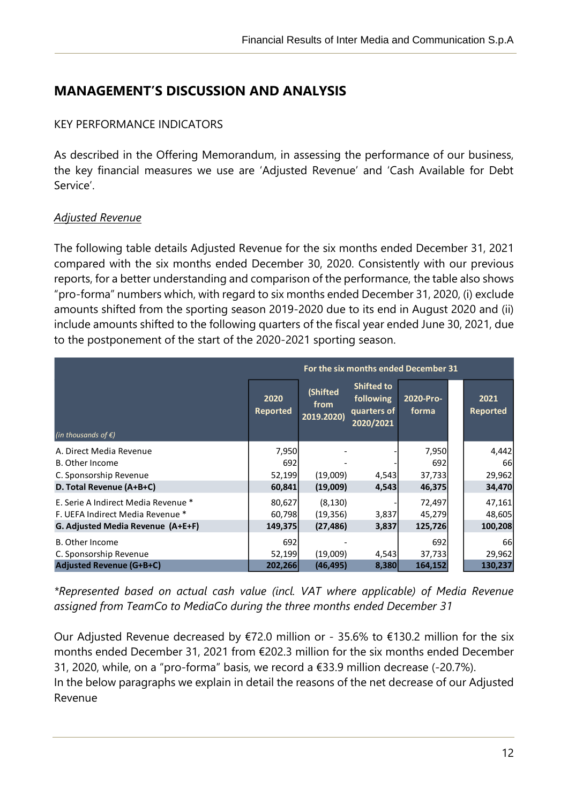# <span id="page-11-0"></span>**MANAGEMENT'S DISCUSSION AND ANALYSIS**

#### <span id="page-11-1"></span>KEY PERFORMANCE INDICATORS

As described in the Offering Memorandum, in assessing the performance of our business, the key financial measures we use are 'Adjusted Revenue' and 'Cash Available for Debt Service'.

#### <span id="page-11-2"></span>*Adjusted Revenue*

j

The following table details Adjusted Revenue for the six months ended December 31, 2021 compared with the six months ended December 30, 2020. Consistently with our previous reports, for a better understanding and comparison of the performance, the table also shows "pro-forma" numbers which, with regard to six months ended December 31, 2020, (i) exclude amounts shifted from the sporting season 2019-2020 due to its end in August 2020 and (ii) include amounts shifted to the following quarters of the fiscal year ended June 30, 2021, due to the postponement of the start of the 2020-2021 sporting season.

| For the six months ended December 31 |                         |                                |                                                            |                    |  |                         |
|--------------------------------------|-------------------------|--------------------------------|------------------------------------------------------------|--------------------|--|-------------------------|
| (in thousands of $\xi$ )             | 2020<br><b>Reported</b> | (Shifted<br>from<br>2019.2020) | <b>Shifted to</b><br>following<br>quarters of<br>2020/2021 | 2020-Pro-<br>forma |  | 2021<br><b>Reported</b> |
| A. Direct Media Revenue              | 7,950                   |                                |                                                            | 7,950              |  | 4,442                   |
| B. Other Income                      | 692                     |                                |                                                            | 692                |  | 66                      |
| C. Sponsorship Revenue               | 52,199                  | (19,009)                       | 4,543                                                      | 37,733             |  | 29,962                  |
| D. Total Revenue (A+B+C)             | 60,841                  | (19,009)                       | 4,543                                                      | 46,375             |  | 34,470                  |
| E. Serie A Indirect Media Revenue *  | 80,627                  | (8, 130)                       |                                                            | 72,497             |  | 47,161                  |
| F. UEFA Indirect Media Revenue *     | 60,798                  | (19, 356)                      | 3,837                                                      | 45,279             |  | 48,605                  |
| G. Adjusted Media Revenue (A+E+F)    | 149,375                 | (27, 486)                      | 3,837                                                      | 125,726            |  | 100,208                 |
| B. Other Income                      | 692                     |                                |                                                            | 692                |  | <b>66</b>               |
| C. Sponsorship Revenue               | 52,199                  | (19,009)                       | 4,543                                                      | 37,733             |  | 29,962                  |
| <b>Adjusted Revenue (G+B+C)</b>      | 202,266                 | (46, 495)                      | 8,380                                                      | 164,152            |  | 130,237                 |

*\*Represented based on actual cash value (incl. VAT where applicable) of Media Revenue assigned from TeamCo to MediaCo during the three months ended December 31*

Our Adjusted Revenue decreased by €72.0 million or - 35.6% to €130.2 million for the six months ended December 31, 2021 from €202.3 million for the six months ended December 31, 2020, while, on a "pro-forma" basis, we record a €33.9 million decrease (-20.7%). In the below paragraphs we explain in detail the reasons of the net decrease of our Adjusted Revenue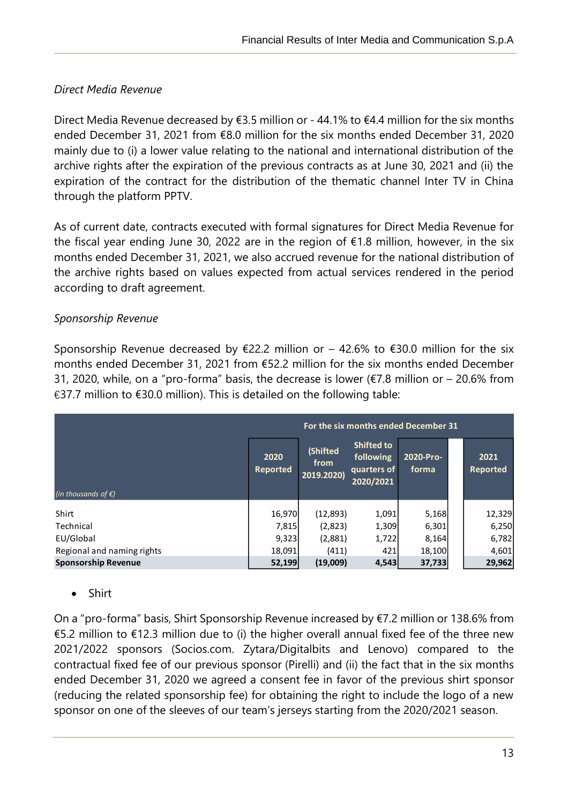# *Direct Media Revenue*

j

Direct Media Revenue decreased by €3.5 million or - 44.1% to €4.4 million for the six months ended December 31, 2021 from €8.0 million for the six months ended December 31, 2020 mainly due to (i) a lower value relating to the national and international distribution of the archive rights after the expiration of the previous contracts as at June 30, 2021 and (ii) the expiration of the contract for the distribution of the thematic channel Inter TV in China through the platform PPTV.

As of current date, contracts executed with formal signatures for Direct Media Revenue for the fiscal year ending June 30, 2022 are in the region of €1.8 million, however, in the six months ended December 31, 2021, we also accrued revenue for the national distribution of the archive rights based on values expected from actual services rendered in the period according to draft agreement.

# *Sponsorship Revenue*

Sponsorship Revenue decreased by  $\epsilon$ 22.2 million or – 42.6% to  $\epsilon$ 30.0 million for the six months ended December 31, 2021 from €52.2 million for the six months ended December 31, 2020, while, on a "pro-forma" basis, the decrease is lower ( $\epsilon$ 7.8 million or – 20.6% from €37.7 million to €30.0 million). This is detailed on the following table:

|                               | For the six months ended December 31 |                                |                                                            |                    |  |                         |
|-------------------------------|--------------------------------------|--------------------------------|------------------------------------------------------------|--------------------|--|-------------------------|
| (in thousands of $\epsilon$ ) | 2020<br><b>Reported</b>              | (Shifted<br>from<br>2019.2020) | <b>Shifted to</b><br>following<br>quarters of<br>2020/2021 | 2020-Pro-<br>forma |  | 2021<br><b>Reported</b> |
| Shirt                         | 16,970                               | (12,893)                       | 1,091                                                      | 5,168              |  | 12,329                  |
| Technical                     | 7,815                                | (2,823)                        | 1,309                                                      | 6,301              |  | 6,250                   |
| EU/Global                     | 9,323                                | (2,881)                        | 1,722                                                      | 8,164              |  | 6,782                   |
| Regional and naming rights    | 18,091                               | (411)                          | 421                                                        | 18,100             |  | 4,601                   |
| <b>Sponsorship Revenue</b>    | 52,199                               | (19,009)                       | 4,543                                                      | 37,733             |  | 29,962                  |

• Shirt

On a "pro-forma" basis, Shirt Sponsorship Revenue increased by €7.2 million or 138.6% from €5.2 million to €12.3 million due to (i) the higher overall annual fixed fee of the three new 2021/2022 sponsors (Socios.com. Zytara/Digitalbits and Lenovo) compared to the contractual fixed fee of our previous sponsor (Pirelli) and (ii) the fact that in the six months ended December 31, 2020 we agreed a consent fee in favor of the previous shirt sponsor (reducing the related sponsorship fee) for obtaining the right to include the logo of a new sponsor on one of the sleeves of our team's jerseys starting from the 2020/2021 season.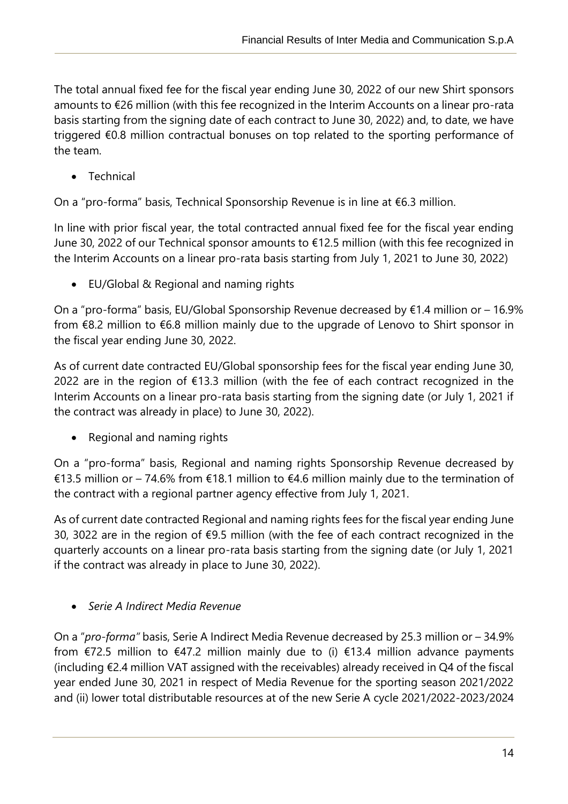The total annual fixed fee for the fiscal year ending June 30, 2022 of our new Shirt sponsors amounts to €26 million (with this fee recognized in the Interim Accounts on a linear pro-rata basis starting from the signing date of each contract to June 30, 2022) and, to date, we have triggered €0.8 million contractual bonuses on top related to the sporting performance of the team.

• Technical

j

On a "pro-forma" basis, Technical Sponsorship Revenue is in line at €6.3 million.

In line with prior fiscal year, the total contracted annual fixed fee for the fiscal year ending June 30, 2022 of our Technical sponsor amounts to €12.5 million (with this fee recognized in the Interim Accounts on a linear pro-rata basis starting from July 1, 2021 to June 30, 2022)

• EU/Global & Regional and naming rights

On a "pro-forma" basis, EU/Global Sponsorship Revenue decreased by €1.4 million or – 16.9% from €8.2 million to €6.8 million mainly due to the upgrade of Lenovo to Shirt sponsor in the fiscal year ending June 30, 2022.

As of current date contracted EU/Global sponsorship fees for the fiscal year ending June 30, 2022 are in the region of €13.3 million (with the fee of each contract recognized in the Interim Accounts on a linear pro-rata basis starting from the signing date (or July 1, 2021 if the contract was already in place) to June 30, 2022).

• Regional and naming rights

On a "pro-forma" basis, Regional and naming rights Sponsorship Revenue decreased by €13.5 million or – 74.6% from €18.1 million to €4.6 million mainly due to the termination of the contract with a regional partner agency effective from July 1, 2021.

As of current date contracted Regional and naming rights fees for the fiscal year ending June 30, 3022 are in the region of €9.5 million (with the fee of each contract recognized in the quarterly accounts on a linear pro-rata basis starting from the signing date (or July 1, 2021 if the contract was already in place to June 30, 2022).

• *Serie A Indirect Media Revenue*

On a "*pro-forma"* basis, Serie A Indirect Media Revenue decreased by 25.3 million or – 34.9% from €72.5 million to €47.2 million mainly due to (i) €13.4 million advance payments (including €2.4 million VAT assigned with the receivables) already received in Q4 of the fiscal year ended June 30, 2021 in respect of Media Revenue for the sporting season 2021/2022 and (ii) lower total distributable resources at of the new Serie A cycle 2021/2022-2023/2024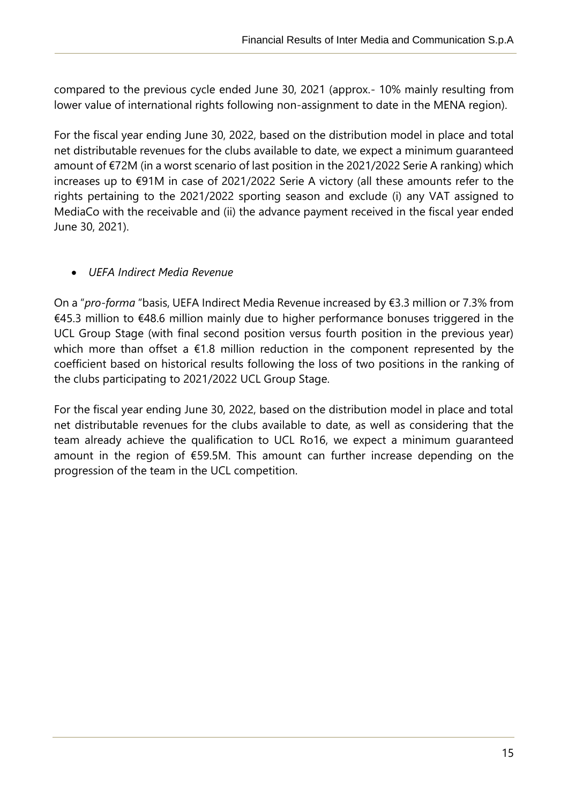compared to the previous cycle ended June 30, 2021 (approx.- 10% mainly resulting from lower value of international rights following non-assignment to date in the MENA region).

For the fiscal year ending June 30, 2022, based on the distribution model in place and total net distributable revenues for the clubs available to date, we expect a minimum guaranteed amount of €72M (in a worst scenario of last position in the 2021/2022 Serie A ranking) which increases up to €91M in case of 2021/2022 Serie A victory (all these amounts refer to the rights pertaining to the 2021/2022 sporting season and exclude (i) any VAT assigned to MediaCo with the receivable and (ii) the advance payment received in the fiscal year ended June 30, 2021).

# • *UEFA Indirect Media Revenue*

j

On a "*pro-forma* "basis, UEFA Indirect Media Revenue increased by €3.3 million or 7.3% from €45.3 million to €48.6 million mainly due to higher performance bonuses triggered in the UCL Group Stage (with final second position versus fourth position in the previous year) which more than offset a  $\epsilon$ 1.8 million reduction in the component represented by the coefficient based on historical results following the loss of two positions in the ranking of the clubs participating to 2021/2022 UCL Group Stage.

For the fiscal year ending June 30, 2022, based on the distribution model in place and total net distributable revenues for the clubs available to date, as well as considering that the team already achieve the qualification to UCL Ro16, we expect a minimum guaranteed amount in the region of €59.5M. This amount can further increase depending on the progression of the team in the UCL competition.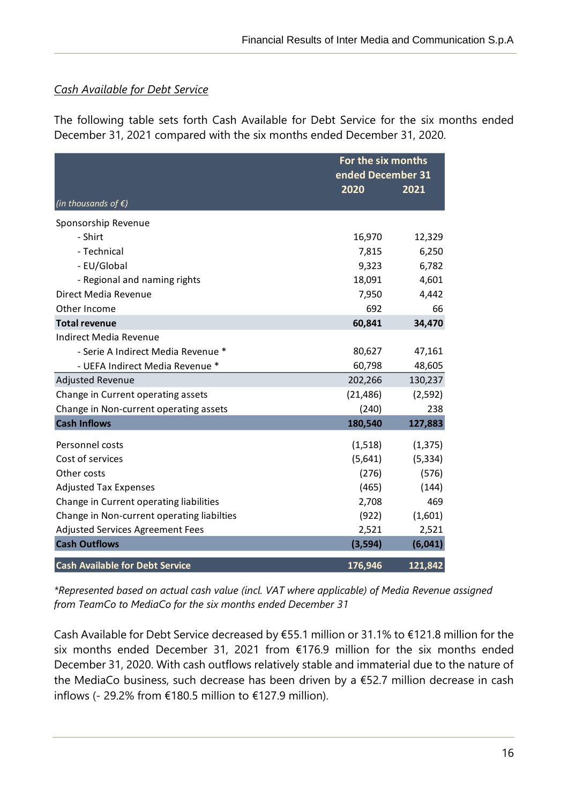## <span id="page-15-0"></span>*Cash Available for Debt Service*

j

The following table sets forth Cash Available for Debt Service for the six months ended December 31, 2021 compared with the six months ended December 31, 2020.

|                                            | For the six months<br>ended December 31<br>2020<br>2021 |          |  |
|--------------------------------------------|---------------------------------------------------------|----------|--|
| (in thousands of $\xi$ )                   |                                                         |          |  |
| Sponsorship Revenue                        |                                                         |          |  |
| - Shirt                                    | 16,970                                                  | 12,329   |  |
| - Technical                                | 7,815                                                   | 6,250    |  |
| - EU/Global                                | 9,323                                                   | 6,782    |  |
| - Regional and naming rights               | 18,091                                                  | 4,601    |  |
| Direct Media Revenue                       | 7,950                                                   | 4,442    |  |
| Other Income                               | 692                                                     | 66       |  |
| <b>Total revenue</b>                       | 60,841                                                  | 34,470   |  |
| <b>Indirect Media Revenue</b>              |                                                         |          |  |
| - Serie A Indirect Media Revenue *         | 80,627                                                  | 47,161   |  |
| - UEFA Indirect Media Revenue *            | 60,798                                                  | 48,605   |  |
| <b>Adjusted Revenue</b>                    | 202,266                                                 | 130,237  |  |
| Change in Current operating assets         | (21, 486)                                               | (2,592)  |  |
| Change in Non-current operating assets     | (240)                                                   | 238      |  |
| <b>Cash Inflows</b>                        | 180,540                                                 | 127,883  |  |
| Personnel costs                            | (1,518)                                                 | (1, 375) |  |
| Cost of services                           | (5,641)                                                 | (5, 334) |  |
| Other costs                                | (276)                                                   | (576)    |  |
| <b>Adjusted Tax Expenses</b>               | (465)                                                   | (144)    |  |
| Change in Current operating liabilities    | 2,708                                                   | 469      |  |
| Change in Non-current operating liabilties | (922)                                                   | (1,601)  |  |
| Adjusted Services Agreement Fees           | 2,521                                                   | 2,521    |  |
| <b>Cash Outflows</b>                       | (3, 594)                                                | (6,041)  |  |
| <b>Cash Available for Debt Service</b>     | 176,946                                                 | 121,842  |  |

*\*Represented based on actual cash value (incl. VAT where applicable) of Media Revenue assigned from TeamCo to MediaCo for the six months ended December 31*

Cash Available for Debt Service decreased by €55.1 million or 31.1% to €121.8 million for the six months ended December 31, 2021 from €176.9 million for the six months ended December 31, 2020. With cash outflows relatively stable and immaterial due to the nature of the MediaCo business, such decrease has been driven by a €52.7 million decrease in cash inflows (- 29.2% from €180.5 million to €127.9 million).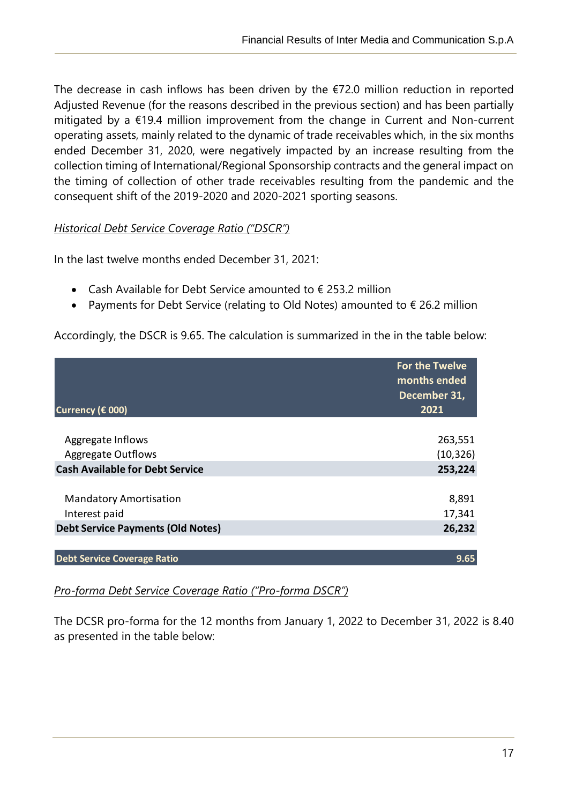The decrease in cash inflows has been driven by the  $E$ 72.0 million reduction in reported Adjusted Revenue (for the reasons described in the previous section) and has been partially mitigated by a €19.4 million improvement from the change in Current and Non-current operating assets, mainly related to the dynamic of trade receivables which, in the six months ended December 31, 2020, were negatively impacted by an increase resulting from the collection timing of International/Regional Sponsorship contracts and the general impact on the timing of collection of other trade receivables resulting from the pandemic and the consequent shift of the 2019-2020 and 2020-2021 sporting seasons.

#### <span id="page-16-0"></span>*Historical Debt Service Coverage Ratio ("DSCR")*

j

In the last twelve months ended December 31, 2021:

- Cash Available for Debt Service amounted to  $\epsilon$  253.2 million
- Payments for Debt Service (relating to Old Notes) amounted to € 26.2 million

Accordingly, the DSCR is 9.65. The calculation is summarized in the in the table below:

|                                          | <b>For the Twelve</b><br>months ended<br>December 31, |
|------------------------------------------|-------------------------------------------------------|
| Currency (€ 000)                         | 2021                                                  |
|                                          |                                                       |
| Aggregate Inflows                        | 263,551                                               |
| <b>Aggregate Outflows</b>                | (10, 326)                                             |
| <b>Cash Available for Debt Service</b>   | 253,224                                               |
|                                          |                                                       |
| <b>Mandatory Amortisation</b>            | 8,891                                                 |
| Interest paid                            | 17,341                                                |
| <b>Debt Service Payments (Old Notes)</b> | 26,232                                                |
|                                          |                                                       |
| <b>Debt Service Coverage Ratio</b>       | 9.65                                                  |

# <span id="page-16-1"></span>*Pro-forma Debt Service Coverage Ratio ("Pro-forma DSCR")*

The DCSR pro-forma for the 12 months from January 1, 2022 to December 31, 2022 is 8.40 as presented in the table below: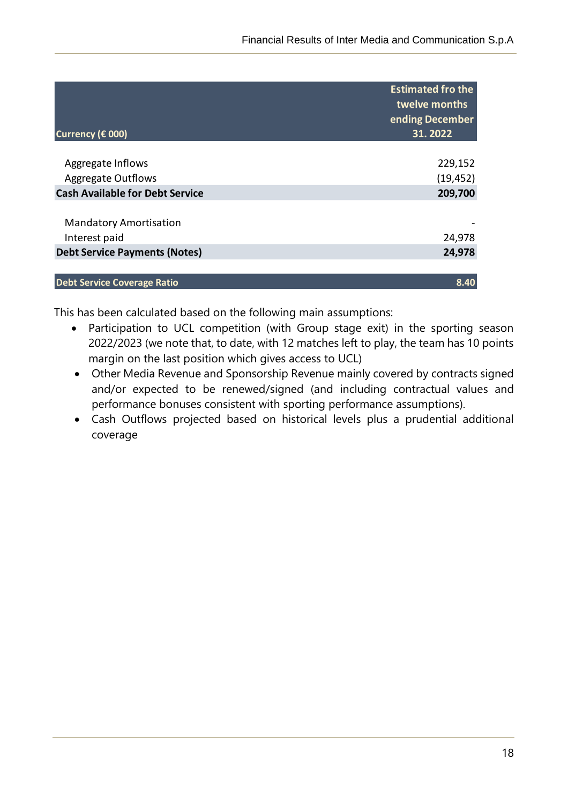| <b>Estimated fro the</b><br>twelve months<br>ending December<br>31.2022 |
|-------------------------------------------------------------------------|
|                                                                         |
| 229,152                                                                 |
| (19, 452)                                                               |
| 209,700                                                                 |
|                                                                         |
| 24,978                                                                  |
| 24,978                                                                  |
| 8.40                                                                    |
|                                                                         |

This has been calculated based on the following main assumptions:

j

- Participation to UCL competition (with Group stage exit) in the sporting season 2022/2023 (we note that, to date, with 12 matches left to play, the team has 10 points margin on the last position which gives access to UCL)
- Other Media Revenue and Sponsorship Revenue mainly covered by contracts signed and/or expected to be renewed/signed (and including contractual values and performance bonuses consistent with sporting performance assumptions).
- Cash Outflows projected based on historical levels plus a prudential additional coverage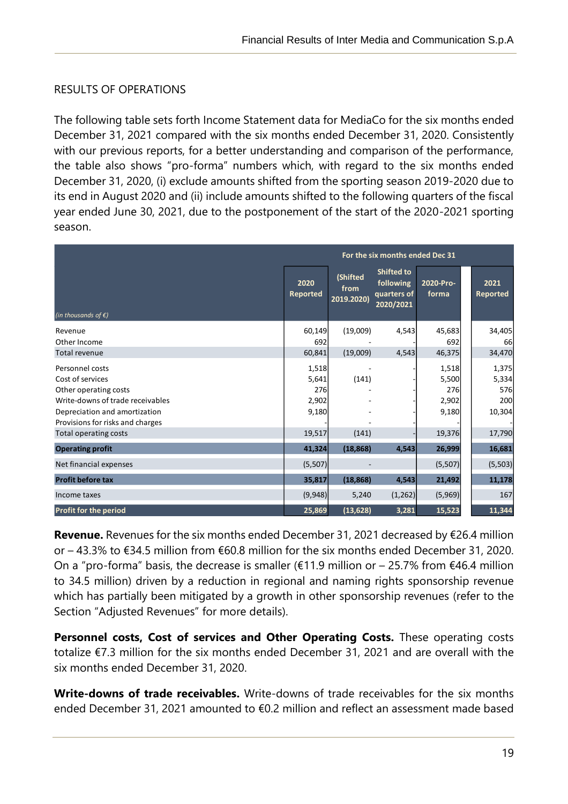# <span id="page-18-0"></span>RESULTS OF OPERATIONS

j

The following table sets forth Income Statement data for MediaCo for the six months ended December 31, 2021 compared with the six months ended December 31, 2020. Consistently with our previous reports, for a better understanding and comparison of the performance, the table also shows "pro-forma" numbers which, with regard to the six months ended December 31, 2020, (i) exclude amounts shifted from the sporting season 2019-2020 due to its end in August 2020 and (ii) include amounts shifted to the following quarters of the fiscal year ended June 30, 2021, due to the postponement of the start of the 2020-2021 sporting season.

|                                  | For the six months ended Dec 31 |                                |                                                            |                    |                         |
|----------------------------------|---------------------------------|--------------------------------|------------------------------------------------------------|--------------------|-------------------------|
| (in thousands of $\xi$ )         | 2020<br><b>Reported</b>         | (Shifted<br>from<br>2019.2020) | <b>Shifted to</b><br>following<br>quarters of<br>2020/2021 | 2020-Pro-<br>forma | 2021<br><b>Reported</b> |
| Revenue                          | 60,149                          | (19,009)                       | 4,543                                                      | 45,683             | 34,405                  |
| Other Income                     | 692                             |                                |                                                            | 692                | 66                      |
| <b>Total revenue</b>             | 60,841                          | (19,009)                       | 4,543                                                      | 46,375             | 34,470                  |
| Personnel costs                  | 1,518                           |                                |                                                            | 1,518              | 1,375                   |
| Cost of services                 | 5,641                           | (141)                          |                                                            | 5,500              | 5,334                   |
| Other operating costs            | 276                             |                                |                                                            | 276                | 576                     |
| Write-downs of trade receivables | 2,902                           |                                |                                                            | 2,902              | 200                     |
| Depreciation and amortization    | 9,180                           |                                |                                                            | 9,180              | 10,304                  |
| Provisions for risks and charges |                                 |                                |                                                            |                    |                         |
| Total operating costs            | 19,517                          | (141)                          |                                                            | 19,376             | 17,790                  |
| <b>Operating profit</b>          | 41,324                          | (18, 868)                      | 4,543                                                      | 26,999             | 16,681                  |
| Net financial expenses           | (5,507)                         |                                |                                                            | (5,507)            | (5, 503)                |
| <b>Profit before tax</b>         | 35,817                          | (18, 868)                      | 4.543                                                      | 21,492             | 11,178                  |
| Income taxes                     | (9,948)                         | 5,240                          | (1, 262)                                                   | (5,969)            | 167                     |
| Profit for the period            | 25,869                          | (13, 628)                      | 3,281                                                      | 15,523             | 11,344                  |

**Revenue.** Revenues for the six months ended December 31, 2021 decreased by €26.4 million or – 43.3% to €34.5 million from €60.8 million for the six months ended December 31, 2020. On a "pro-forma" basis, the decrease is smaller ( $\epsilon$ 11.9 million or – 25.7% from  $\epsilon$ 46.4 million to 34.5 million) driven by a reduction in regional and naming rights sponsorship revenue which has partially been mitigated by a growth in other sponsorship revenues (refer to the Section "Adjusted Revenues" for more details).

**Personnel costs, Cost of services and Other Operating Costs.** These operating costs totalize €7.3 million for the six months ended December 31, 2021 and are overall with the six months ended December 31, 2020.

**Write-downs of trade receivables.** Write-downs of trade receivables for the six months ended December 31, 2021 amounted to €0.2 million and reflect an assessment made based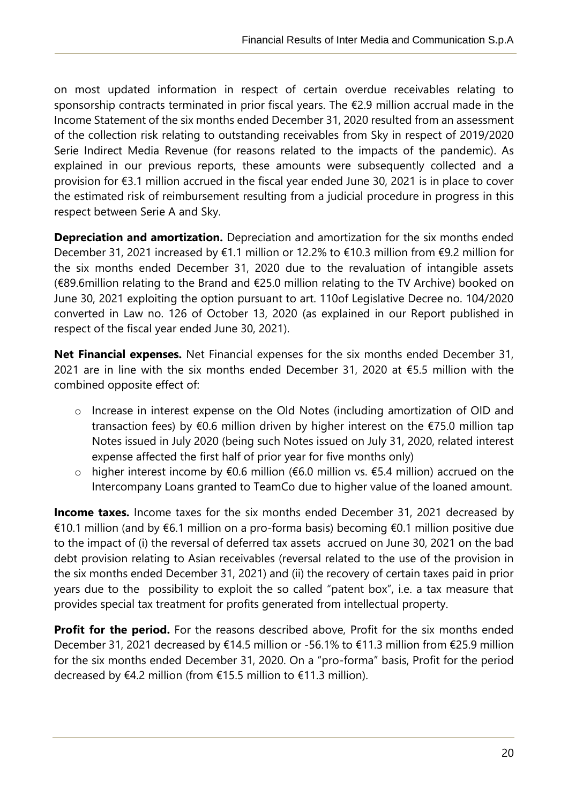on most updated information in respect of certain overdue receivables relating to sponsorship contracts terminated in prior fiscal years. The €2.9 million accrual made in the Income Statement of the six months ended December 31, 2020 resulted from an assessment of the collection risk relating to outstanding receivables from Sky in respect of 2019/2020 Serie Indirect Media Revenue (for reasons related to the impacts of the pandemic). As explained in our previous reports, these amounts were subsequently collected and a provision for €3.1 million accrued in the fiscal year ended June 30, 2021 is in place to cover the estimated risk of reimbursement resulting from a judicial procedure in progress in this respect between Serie A and Sky.

j

**Depreciation and amortization.** Depreciation and amortization for the six months ended December 31, 2021 increased by €1.1 million or 12.2% to €10.3 million from €9.2 million for the six months ended December 31, 2020 due to the revaluation of intangible assets (€89.6million relating to the Brand and €25.0 million relating to the TV Archive) booked on June 30, 2021 exploiting the option pursuant to art. 110of Legislative Decree no. 104/2020 converted in Law no. 126 of October 13, 2020 (as explained in our Report published in respect of the fiscal year ended June 30, 2021).

**Net Financial expenses.** Net Financial expenses for the six months ended December 31, 2021 are in line with the six months ended December 31, 2020 at €5.5 million with the combined opposite effect of:

- o Increase in interest expense on the Old Notes (including amortization of OID and transaction fees) by  $\epsilon$ 0.6 million driven by higher interest on the  $\epsilon$ 75.0 million tap Notes issued in July 2020 (being such Notes issued on July 31, 2020, related interest expense affected the first half of prior year for five months only)
- o higher interest income by €0.6 million (€6.0 million vs. €5.4 million) accrued on the Intercompany Loans granted to TeamCo due to higher value of the loaned amount.

**Income taxes.** Income taxes for the six months ended December 31, 2021 decreased by €10.1 million (and by €6.1 million on a pro-forma basis) becoming €0.1 million positive due to the impact of (i) the reversal of deferred tax assets accrued on June 30, 2021 on the bad debt provision relating to Asian receivables (reversal related to the use of the provision in the six months ended December 31, 2021) and (ii) the recovery of certain taxes paid in prior years due to the possibility to exploit the so called "patent box", i.e. a tax measure that provides special tax treatment for profits generated from intellectual property.

**Profit for the period.** For the reasons described above, Profit for the six months ended December 31, 2021 decreased by €14.5 million or -56.1% to €11.3 million from €25.9 million for the six months ended December 31, 2020. On a "pro-forma" basis, Profit for the period decreased by €4.2 million (from €15.5 million to €11.3 million).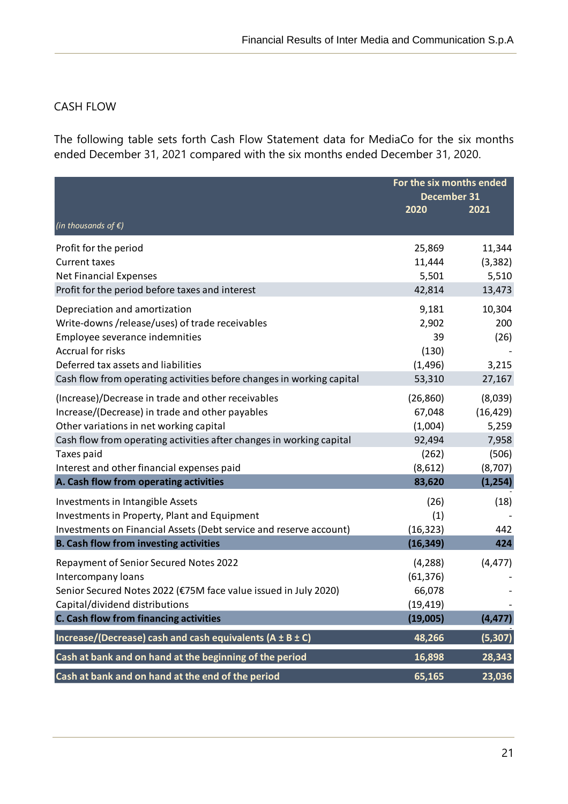# <span id="page-20-0"></span>CASH FLOW

j

The following table sets forth Cash Flow Statement data for MediaCo for the six months ended December 31, 2021 compared with the six months ended December 31, 2020.

|                                                                       |           | For the six months ended<br>December 31 |  |
|-----------------------------------------------------------------------|-----------|-----------------------------------------|--|
| (in thousands of $\epsilon$ )                                         | 2020      | 2021                                    |  |
| Profit for the period                                                 | 25,869    | 11,344                                  |  |
| <b>Current taxes</b>                                                  | 11,444    | (3, 382)                                |  |
| <b>Net Financial Expenses</b>                                         | 5,501     | 5,510                                   |  |
| Profit for the period before taxes and interest                       | 42,814    | 13,473                                  |  |
| Depreciation and amortization                                         | 9,181     | 10,304                                  |  |
| Write-downs /release/uses) of trade receivables                       | 2,902     | 200                                     |  |
| Employee severance indemnities                                        | 39        | (26)                                    |  |
| <b>Accrual for risks</b>                                              | (130)     |                                         |  |
| Deferred tax assets and liabilities                                   | (1, 496)  | 3,215                                   |  |
| Cash flow from operating activities before changes in working capital | 53,310    | 27,167                                  |  |
| (Increase)/Decrease in trade and other receivables                    | (26, 860) | (8,039)                                 |  |
| Increase/(Decrease) in trade and other payables                       | 67,048    | (16, 429)                               |  |
| Other variations in net working capital                               | (1,004)   | 5,259                                   |  |
| Cash flow from operating activities after changes in working capital  | 92,494    | 7,958                                   |  |
| Taxes paid                                                            | (262)     | (506)                                   |  |
| Interest and other financial expenses paid                            | (8,612)   | (8,707)                                 |  |
| A. Cash flow from operating activities                                | 83,620    | (1, 254)                                |  |
| Investments in Intangible Assets                                      | (26)      | (18)                                    |  |
| Investments in Property, Plant and Equipment                          | (1)       |                                         |  |
| Investments on Financial Assets (Debt service and reserve account)    | (16, 323) | 442                                     |  |
| <b>B. Cash flow from investing activities</b>                         | (16, 349) | 424                                     |  |
| Repayment of Senior Secured Notes 2022                                | (4, 288)  | (4, 477)                                |  |
| Intercompany loans                                                    | (61, 376) |                                         |  |
| Senior Secured Notes 2022 (€75M face value issued in July 2020)       | 66,078    |                                         |  |
| Capital/dividend distributions                                        | (19, 419) |                                         |  |
| C. Cash flow from financing activities                                | (19,005)  | (4, 477)                                |  |
| Increase/(Decrease) cash and cash equivalents ( $A \pm B \pm C$ )     | 48,266    | (5, 307)                                |  |
| Cash at bank and on hand at the beginning of the period               | 16,898    | 28,343                                  |  |
| Cash at bank and on hand at the end of the period                     | 65,165    | 23,036                                  |  |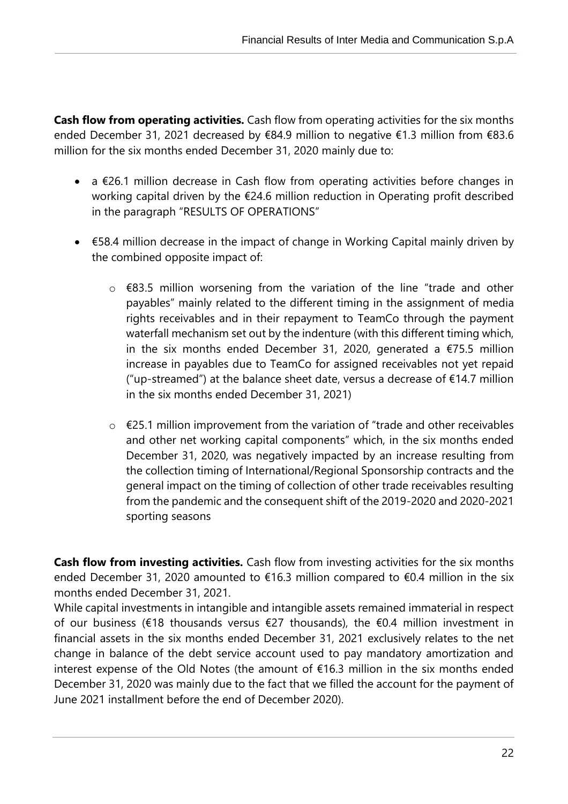**Cash flow from operating activities.** Cash flow from operating activities for the six months ended December 31, 2021 decreased by €84.9 million to negative €1.3 million from €83.6 million for the six months ended December 31, 2020 mainly due to:

j

- a €26.1 million decrease in Cash flow from operating activities before changes in working capital driven by the €24.6 million reduction in Operating profit described in the paragraph "RESULTS OF OPERATIONS"
- €58.4 million decrease in the impact of change in Working Capital mainly driven by the combined opposite impact of:
	- o €83.5 million worsening from the variation of the line "trade and other payables" mainly related to the different timing in the assignment of media rights receivables and in their repayment to TeamCo through the payment waterfall mechanism set out by the indenture (with this different timing which, in the six months ended December 31, 2020, generated a  $\epsilon$ 75.5 million increase in payables due to TeamCo for assigned receivables not yet repaid ("up-streamed") at the balance sheet date, versus a decrease of  $\epsilon$ 14.7 million in the six months ended December 31, 2021)
	- o €25.1 million improvement from the variation of "trade and other receivables and other net working capital components" which, in the six months ended December 31, 2020, was negatively impacted by an increase resulting from the collection timing of International/Regional Sponsorship contracts and the general impact on the timing of collection of other trade receivables resulting from the pandemic and the consequent shift of the 2019-2020 and 2020-2021 sporting seasons

**Cash flow from investing activities.** Cash flow from investing activities for the six months ended December 31, 2020 amounted to  $\epsilon$ 16.3 million compared to  $\epsilon$ 0.4 million in the six months ended December 31, 2021.

While capital investments in intangible and intangible assets remained immaterial in respect of our business (€18 thousands versus €27 thousands), the €0.4 million investment in financial assets in the six months ended December 31, 2021 exclusively relates to the net change in balance of the debt service account used to pay mandatory amortization and interest expense of the Old Notes (the amount of €16.3 million in the six months ended December 31, 2020 was mainly due to the fact that we filled the account for the payment of June 2021 installment before the end of December 2020).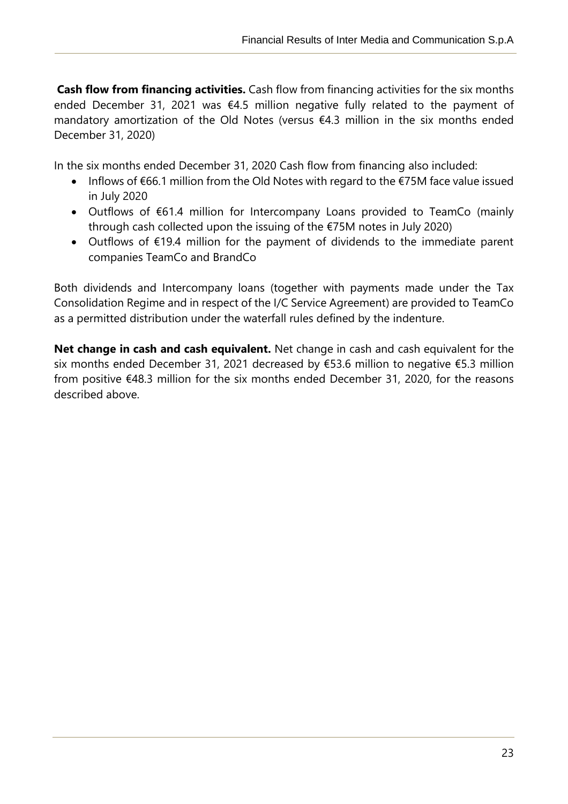**Cash flow from financing activities.** Cash flow from financing activities for the six months ended December 31, 2021 was €4.5 million negative fully related to the payment of mandatory amortization of the Old Notes (versus €4.3 million in the six months ended December 31, 2020)

In the six months ended December 31, 2020 Cash flow from financing also included:

j

- Inflows of €66.1 million from the Old Notes with regard to the €75M face value issued in July 2020
- Outflows of €61.4 million for Intercompany Loans provided to TeamCo (mainly through cash collected upon the issuing of the €75M notes in July 2020)
- Outflows of €19.4 million for the payment of dividends to the immediate parent companies TeamCo and BrandCo

Both dividends and Intercompany loans (together with payments made under the Tax Consolidation Regime and in respect of the I/C Service Agreement) are provided to TeamCo as a permitted distribution under the waterfall rules defined by the indenture.

**Net change in cash and cash equivalent.** Net change in cash and cash equivalent for the six months ended December 31, 2021 decreased by €53.6 million to negative €5.3 million from positive €48.3 million for the six months ended December 31, 2020, for the reasons described above.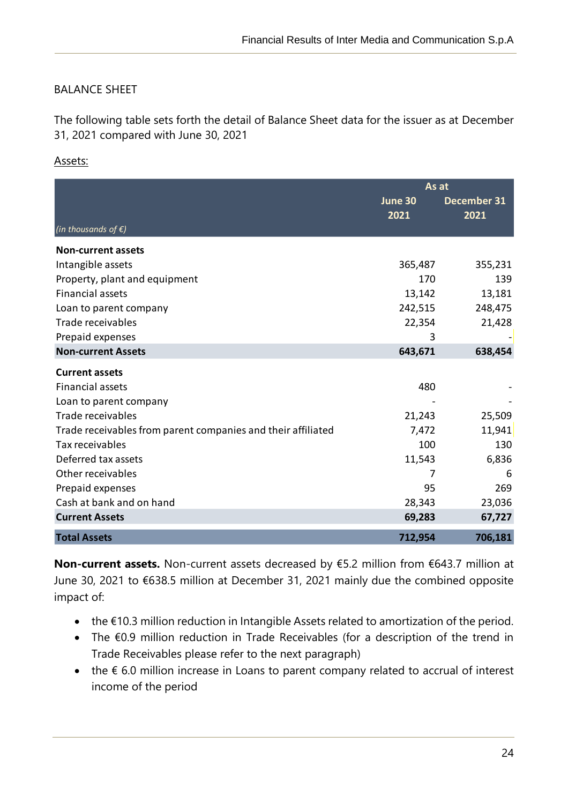# <span id="page-23-0"></span>BALANCE SHEET

The following table sets forth the detail of Balance Sheet data for the issuer as at December 31, 2021 compared with June 30, 2021

#### Assets:

j

|                                                              | As at   |                    |  |
|--------------------------------------------------------------|---------|--------------------|--|
|                                                              | June 30 | <b>December 31</b> |  |
|                                                              | 2021    | 2021               |  |
| (in thousands of $\epsilon$ )                                |         |                    |  |
| <b>Non-current assets</b>                                    |         |                    |  |
| Intangible assets                                            | 365,487 | 355,231            |  |
| Property, plant and equipment                                | 170     | 139                |  |
| <b>Financial assets</b>                                      | 13,142  | 13,181             |  |
| Loan to parent company                                       | 242,515 | 248,475            |  |
| Trade receivables                                            | 22,354  | 21,428             |  |
| Prepaid expenses                                             | 3       |                    |  |
| <b>Non-current Assets</b>                                    | 643,671 | 638,454            |  |
| <b>Current assets</b>                                        |         |                    |  |
| <b>Financial assets</b>                                      | 480     |                    |  |
| Loan to parent company                                       |         |                    |  |
| Trade receivables                                            | 21,243  | 25,509             |  |
| Trade receivables from parent companies and their affiliated | 7,472   | 11,941             |  |
| Tax receivables                                              | 100     | 130                |  |
| Deferred tax assets                                          | 11,543  | 6,836              |  |
| Other receivables                                            | 7       | 6                  |  |
| Prepaid expenses                                             | 95      | 269                |  |
| Cash at bank and on hand                                     | 28,343  | 23,036             |  |
| <b>Current Assets</b>                                        | 69,283  | 67,727             |  |
| <b>Total Assets</b>                                          | 712,954 | 706,181            |  |

**Non-current assets.** Non-current assets decreased by €5.2 million from €643.7 million at June 30, 2021 to €638.5 million at December 31, 2021 mainly due the combined opposite impact of:

- the €10.3 million reduction in Intangible Assets related to amortization of the period.
- The €0.9 million reduction in Trade Receivables (for a description of the trend in Trade Receivables please refer to the next paragraph)
- the € 6.0 million increase in Loans to parent company related to accrual of interest income of the period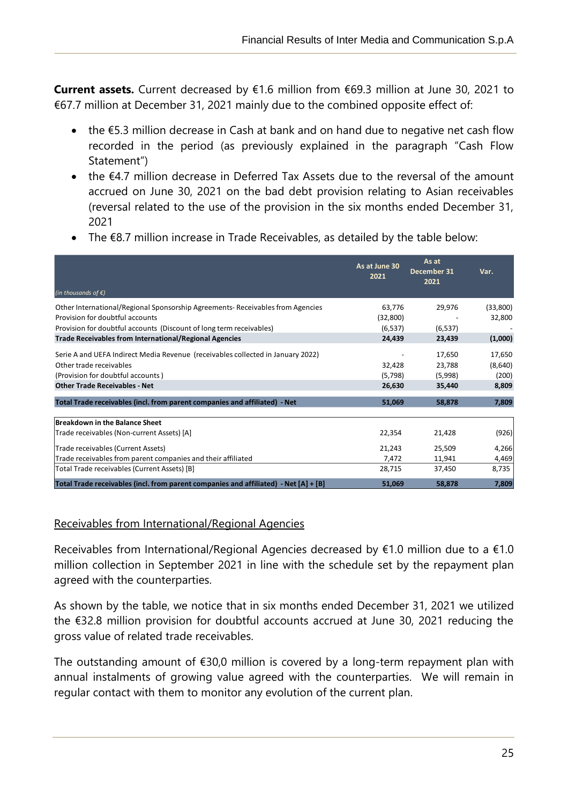**Current assets.** Current decreased by €1.6 million from €69.3 million at June 30, 2021 to €67.7 million at December 31, 2021 mainly due to the combined opposite effect of:

- the €5.3 million decrease in Cash at bank and on hand due to negative net cash flow recorded in the period (as previously explained in the paragraph "Cash Flow Statement")
- the €4.7 million decrease in Deferred Tax Assets due to the reversal of the amount accrued on June 30, 2021 on the bad debt provision relating to Asian receivables (reversal related to the use of the provision in the six months ended December 31, 2021
- The €8.7 million increase in Trade Receivables, as detailed by the table below:

|                                                                                      | As at June 30<br>2021 | As at<br>December 31<br>2021 | Var.     |
|--------------------------------------------------------------------------------------|-----------------------|------------------------------|----------|
| (in thousands of $\xi$ )                                                             |                       |                              |          |
| Other International/Regional Sponsorship Agreements-Receivables from Agencies        | 63,776                | 29,976                       | (33,800) |
| Provision for doubtful accounts                                                      | (32, 800)             |                              | 32,800   |
| Provision for doubtful accounts (Discount of long term receivables)                  | (6, 537)              | (6, 537)                     |          |
| <b>Trade Receivables from International/Regional Agencies</b>                        | 24,439                | 23,439                       | (1,000)  |
| Serie A and UEFA Indirect Media Revenue (receivables collected in January 2022)      |                       | 17,650                       | 17,650   |
| Other trade receivables                                                              | 32,428                | 23,788                       | (8,640)  |
| (Provision for doubtful accounts)                                                    | (5,798)               | (5,998)                      | (200)    |
| <b>Other Trade Receivables - Net</b>                                                 | 26,630                | 35,440                       | 8,809    |
| Total Trade receivables (incl. from parent companies and affiliated) - Net           | 51,069                | 58,878                       | 7,809    |
| Breakdown in the Balance Sheet                                                       |                       |                              |          |
| Trade receivables (Non-current Assets) [A]                                           | 22,354                | 21,428                       | (926)    |
| Trade receivables (Current Assets)                                                   | 21,243                | 25,509                       | 4,266    |
| Trade receivables from parent companies and their affiliated                         | 7,472                 | 11,941                       | 4,469    |
| Total Trade receivables (Current Assets) [B]                                         | 28,715                | 37,450                       | 8,735    |
| Total Trade receivables (incl. from parent companies and affiliated) - Net [A] + [B] | 51,069                | 58,878                       | 7,809    |

#### Receivables from International/Regional Agencies

j

Receivables from International/Regional Agencies decreased by  $£1.0$  million due to a  $£1.0$ million collection in September 2021 in line with the schedule set by the repayment plan agreed with the counterparties.

As shown by the table, we notice that in six months ended December 31, 2021 we utilized the €32.8 million provision for doubtful accounts accrued at June 30, 2021 reducing the gross value of related trade receivables.

The outstanding amount of  $\epsilon$ 30,0 million is covered by a long-term repayment plan with annual instalments of growing value agreed with the counterparties. We will remain in regular contact with them to monitor any evolution of the current plan.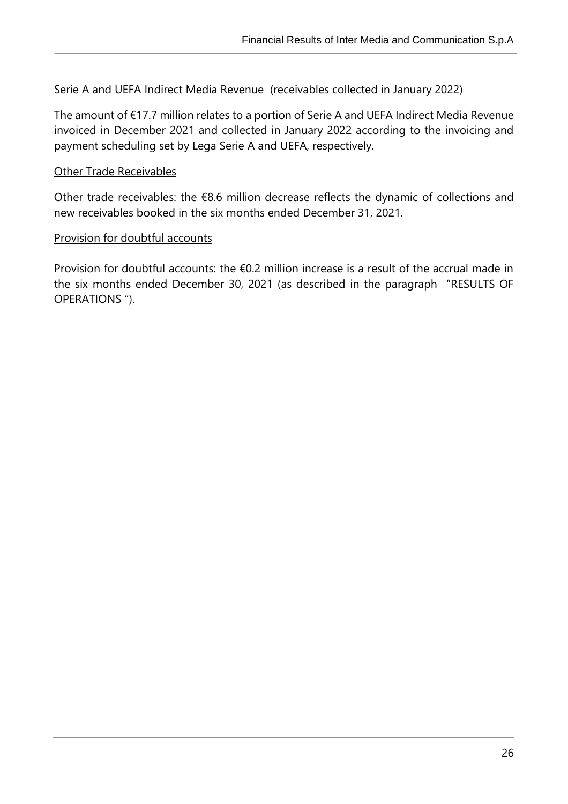#### Serie A and UEFA Indirect Media Revenue (receivables collected in January 2022)

The amount of €17.7 million relates to a portion of Serie A and UEFA Indirect Media Revenue invoiced in December 2021 and collected in January 2022 according to the invoicing and payment scheduling set by Lega Serie A and UEFA, respectively.

#### Other Trade Receivables

j

Other trade receivables: the €8.6 million decrease reflects the dynamic of collections and new receivables booked in the six months ended December 31, 2021.

#### Provision for doubtful accounts

Provision for doubtful accounts: the €0.2 million increase is a result of the accrual made in the six months ended December 30, 2021 (as described in the paragraph "RESULTS OF OPERATIONS ").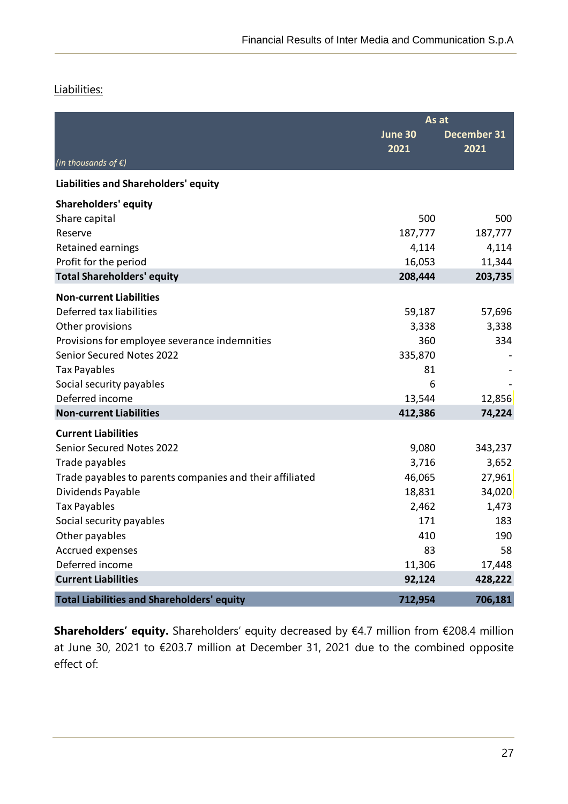#### Liabilities:

j

|                                                          | As at           |                     |  |
|----------------------------------------------------------|-----------------|---------------------|--|
|                                                          | June 30<br>2021 | December 31<br>2021 |  |
| (in thousands of $\epsilon$ )                            |                 |                     |  |
| Liabilities and Shareholders' equity                     |                 |                     |  |
| <b>Shareholders' equity</b>                              |                 |                     |  |
| Share capital                                            | 500             | 500                 |  |
| Reserve                                                  | 187,777         | 187,777             |  |
| Retained earnings                                        | 4,114           | 4,114               |  |
| Profit for the period                                    | 16,053          | 11,344              |  |
| <b>Total Shareholders' equity</b>                        | 208,444         | 203,735             |  |
| <b>Non-current Liabilities</b>                           |                 |                     |  |
| Deferred tax liabilities                                 | 59,187          | 57,696              |  |
| Other provisions                                         | 3,338           | 3,338               |  |
| Provisions for employee severance indemnities            | 360             | 334                 |  |
| <b>Senior Secured Notes 2022</b>                         | 335,870         |                     |  |
| <b>Tax Payables</b>                                      | 81              |                     |  |
| Social security payables                                 | 6               |                     |  |
| Deferred income                                          | 13,544          | 12,856              |  |
| <b>Non-current Liabilities</b>                           | 412,386         | 74,224              |  |
| <b>Current Liabilities</b>                               |                 |                     |  |
| <b>Senior Secured Notes 2022</b>                         | 9,080           | 343,237             |  |
| Trade payables                                           | 3,716           | 3,652               |  |
| Trade payables to parents companies and their affiliated | 46,065          | 27,961              |  |
| Dividends Payable                                        | 18,831          | 34,020              |  |
| <b>Tax Payables</b>                                      | 2,462           | 1,473               |  |
| Social security payables                                 | 171             | 183                 |  |
| Other payables                                           | 410             | 190                 |  |
| Accrued expenses                                         | 83              | 58                  |  |
| Deferred income                                          | 11,306          | 17,448              |  |
| <b>Current Liabilities</b>                               | 92,124          | 428,222             |  |
| <b>Total Liabilities and Shareholders' equity</b>        | 712,954         | 706,181             |  |

**Shareholders' equity.** Shareholders' equity decreased by €4.7 million from €208.4 million at June 30, 2021 to €203.7 million at December 31, 2021 due to the combined opposite effect of: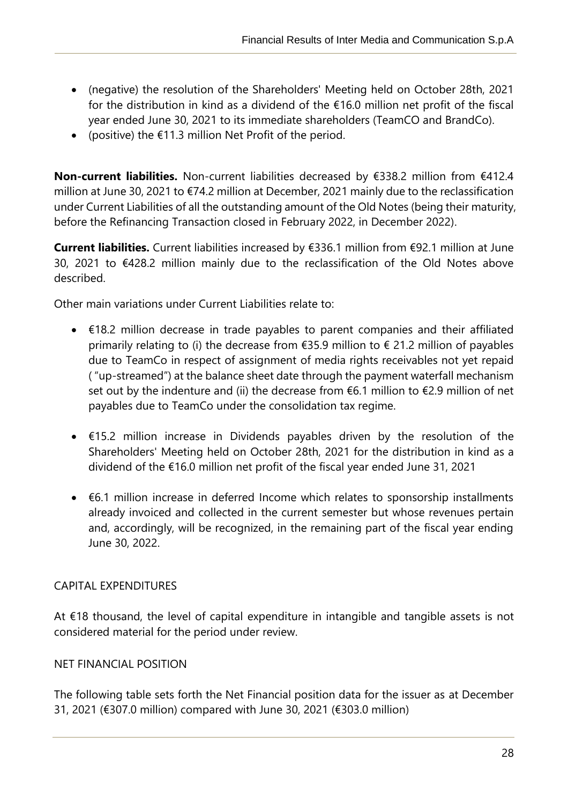- (negative) the resolution of the Shareholders' Meeting held on October 28th, 2021 for the distribution in kind as a dividend of the €16.0 million net profit of the fiscal year ended June 30, 2021 to its immediate shareholders (TeamCO and BrandCo).
- (positive) the €11.3 million Net Profit of the period.

**Non-current liabilities.** Non-current liabilities decreased by €338.2 million from €412.4 million at June 30, 2021 to €74.2 million at December, 2021 mainly due to the reclassification under Current Liabilities of all the outstanding amount of the Old Notes (being their maturity, before the Refinancing Transaction closed in February 2022, in December 2022).

**Current liabilities.** Current liabilities increased by €336.1 million from €92.1 million at June 30, 2021 to €428.2 million mainly due to the reclassification of the Old Notes above described.

Other main variations under Current Liabilities relate to:

- €18.2 million decrease in trade payables to parent companies and their affiliated primarily relating to (i) the decrease from  $\epsilon$ 35.9 million to  $\epsilon$  21.2 million of payables due to TeamCo in respect of assignment of media rights receivables not yet repaid ( "up-streamed") at the balance sheet date through the payment waterfall mechanism set out by the indenture and (ii) the decrease from  $6.1$  million to  $62.9$  million of net payables due to TeamCo under the consolidation tax regime.
- €15.2 million increase in Dividends payables driven by the resolution of the Shareholders' Meeting held on October 28th, 2021 for the distribution in kind as a dividend of the €16.0 million net profit of the fiscal year ended June 31, 2021
- €6.1 million increase in deferred Income which relates to sponsorship installments already invoiced and collected in the current semester but whose revenues pertain and, accordingly, will be recognized, in the remaining part of the fiscal year ending June 30, 2022.

# <span id="page-27-0"></span>CAPITAL EXPENDITURES

j

At €18 thousand, the level of capital expenditure in intangible and tangible assets is not considered material for the period under review.

# <span id="page-27-1"></span>NET FINANCIAL POSITION

The following table sets forth the Net Financial position data for the issuer as at December 31, 2021 (€307.0 million) compared with June 30, 2021 (€303.0 million)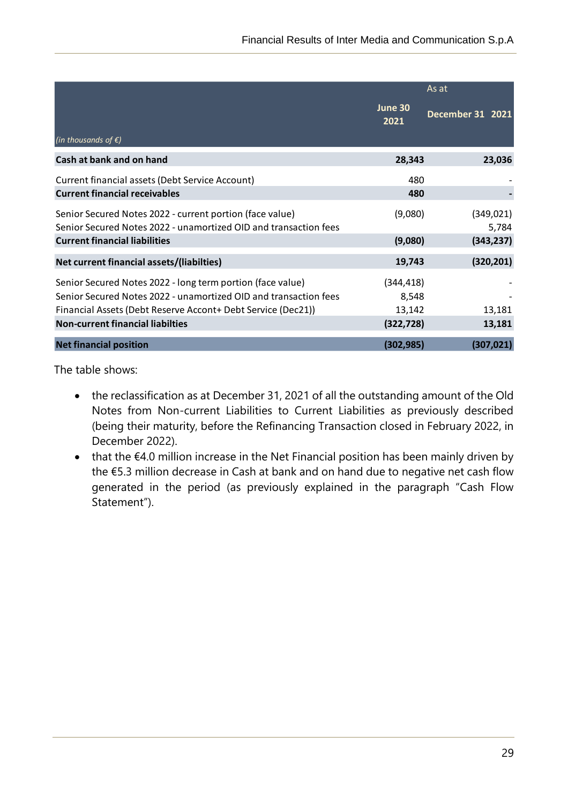|                                                                                                                                                                                                |                               | As at                   |
|------------------------------------------------------------------------------------------------------------------------------------------------------------------------------------------------|-------------------------------|-------------------------|
|                                                                                                                                                                                                | June 30<br>2021               | <b>December 31 2021</b> |
| (in thousands of $\epsilon$ )                                                                                                                                                                  |                               |                         |
| Cash at bank and on hand                                                                                                                                                                       | 28,343                        | 23,036                  |
| Current financial assets (Debt Service Account)                                                                                                                                                | 480                           |                         |
| <b>Current financial receivables</b>                                                                                                                                                           | 480                           |                         |
| Senior Secured Notes 2022 - current portion (face value)<br>Senior Secured Notes 2022 - unamortized OID and transaction fees                                                                   | (9,080)                       | (349, 021)<br>5,784     |
| <b>Current financial liabilities</b>                                                                                                                                                           | (9,080)                       | (343, 237)              |
| Net current financial assets/(liabilties)                                                                                                                                                      | 19,743                        | (320, 201)              |
| Senior Secured Notes 2022 - long term portion (face value)<br>Senior Secured Notes 2022 - unamortized OID and transaction fees<br>Financial Assets (Debt Reserve Accont+ Debt Service (Dec21)) | (344, 418)<br>8,548<br>13,142 | 13,181                  |
| <b>Non-current financial liabilties</b>                                                                                                                                                        | (322, 728)                    | 13,181                  |
| <b>Net financial position</b>                                                                                                                                                                  | (302, 985)                    | (307, 021)              |

The table shows:

j

- the reclassification as at December 31, 2021 of all the outstanding amount of the Old Notes from Non-current Liabilities to Current Liabilities as previously described (being their maturity, before the Refinancing Transaction closed in February 2022, in December 2022).
- that the €4.0 million increase in the Net Financial position has been mainly driven by the €5.3 million decrease in Cash at bank and on hand due to negative net cash flow generated in the period (as previously explained in the paragraph "Cash Flow Statement").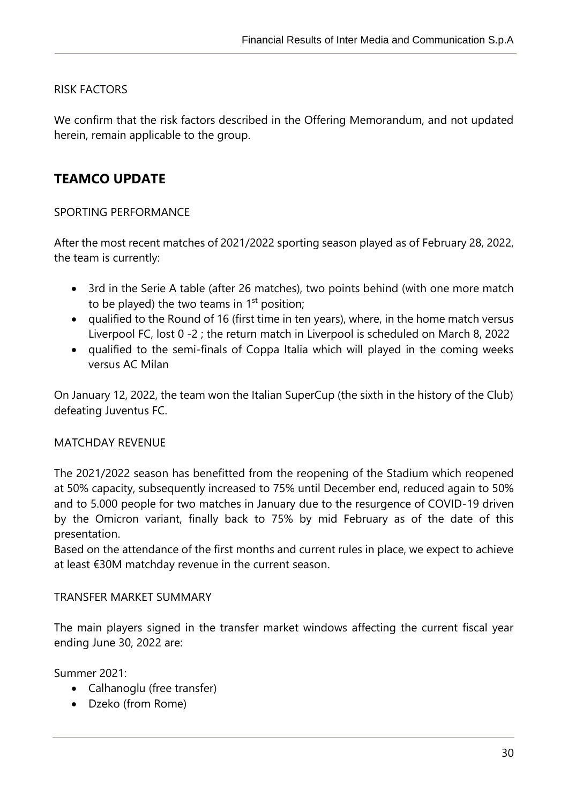# <span id="page-29-0"></span>RISK FACTORS

j

We confirm that the risk factors described in the Offering Memorandum, and not updated herein, remain applicable to the group.

# <span id="page-29-1"></span>**TEAMCO UPDATE**

#### <span id="page-29-2"></span>SPORTING PERFORMANCE

After the most recent matches of 2021/2022 sporting season played as of February 28, 2022, the team is currently:

- 3rd in the Serie A table (after 26 matches), two points behind (with one more match to be played) the two teams in  $1<sup>st</sup>$  position;
- qualified to the Round of 16 (first time in ten years), where, in the home match versus Liverpool FC, lost 0 -2 ; the return match in Liverpool is scheduled on March 8, 2022
- qualified to the semi-finals of Coppa Italia which will played in the coming weeks versus AC Milan

On January 12, 2022, the team won the Italian SuperCup (the sixth in the history of the Club) defeating Juventus FC.

#### <span id="page-29-3"></span>MATCHDAY REVENUE

The 2021/2022 season has benefitted from the reopening of the Stadium which reopened at 50% capacity, subsequently increased to 75% until December end, reduced again to 50% and to 5.000 people for two matches in January due to the resurgence of COVID-19 driven by the Omicron variant, finally back to 75% by mid February as of the date of this presentation.

Based on the attendance of the first months and current rules in place, we expect to achieve at least €30M matchday revenue in the current season.

#### <span id="page-29-4"></span>TRANSFER MARKET SUMMARY

The main players signed in the transfer market windows affecting the current fiscal year ending June 30, 2022 are:

Summer 2021:

- Calhanoglu (free transfer)
- Dzeko (from Rome)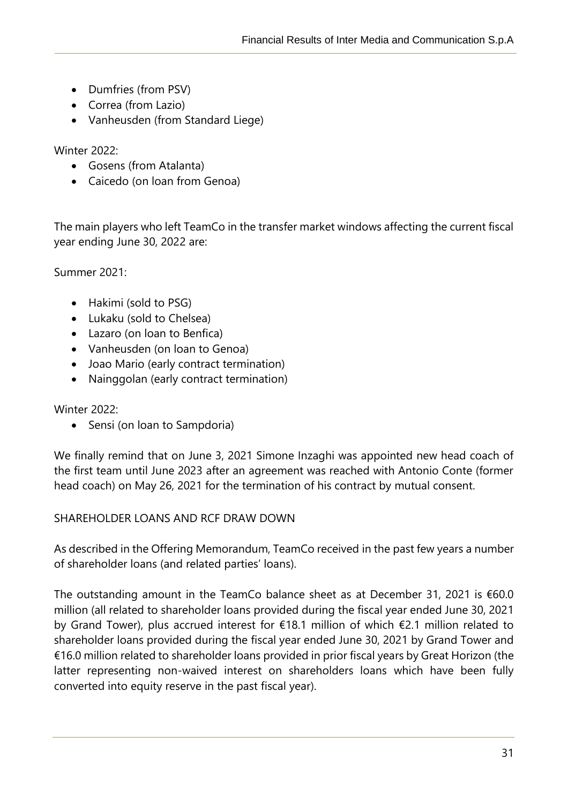- Dumfries (from PSV)
- Correa (from Lazio)
- Vanheusden (from Standard Liege)

Winter 2022:

j

- Gosens (from Atalanta)
- Caicedo (on loan from Genoa)

The main players who left TeamCo in the transfer market windows affecting the current fiscal year ending June 30, 2022 are:

Summer 2021:

- Hakimi (sold to PSG)
- Lukaku (sold to Chelsea)
- Lazaro (on loan to Benfica)
- Vanheusden (on loan to Genoa)
- Joao Mario (early contract termination)
- Nainggolan (early contract termination)

Winter 2022:

• Sensi (on loan to Sampdoria)

We finally remind that on June 3, 2021 Simone Inzaghi was appointed new head coach of the first team until June 2023 after an agreement was reached with Antonio Conte (former head coach) on May 26, 2021 for the termination of his contract by mutual consent.

# <span id="page-30-0"></span>SHAREHOLDER LOANS AND RCF DRAW DOWN

As described in the Offering Memorandum, TeamCo received in the past few years a number of shareholder loans (and related parties' loans).

The outstanding amount in the TeamCo balance sheet as at December 31, 2021 is €60.0 million (all related to shareholder loans provided during the fiscal year ended June 30, 2021 by Grand Tower), plus accrued interest for €18.1 million of which €2.1 million related to shareholder loans provided during the fiscal year ended June 30, 2021 by Grand Tower and €16.0 million related to shareholder loans provided in prior fiscal years by Great Horizon (the latter representing non-waived interest on shareholders loans which have been fully converted into equity reserve in the past fiscal year).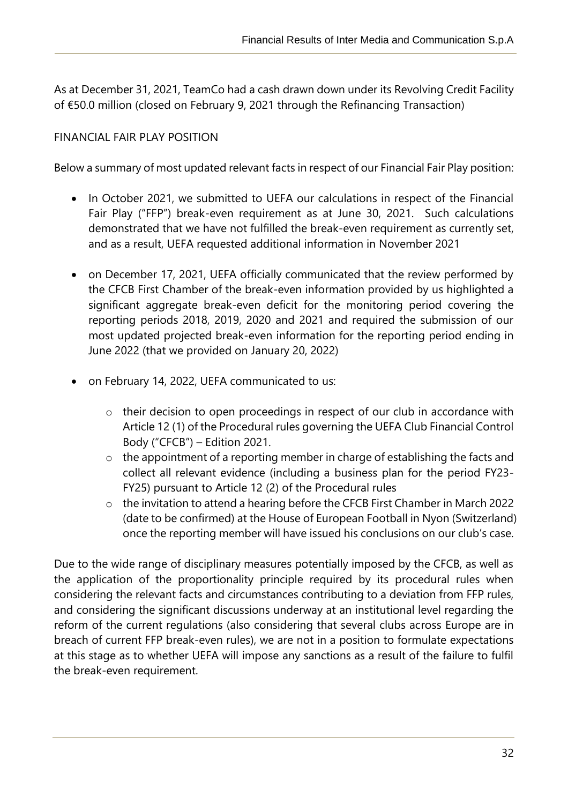As at December 31, 2021, TeamCo had a cash drawn down under its Revolving Credit Facility of €50.0 million (closed on February 9, 2021 through the Refinancing Transaction)

## <span id="page-31-0"></span>FINANCIAL FAIR PLAY POSITION

j

Below a summary of most updated relevant facts in respect of our Financial Fair Play position:

- In October 2021, we submitted to UEFA our calculations in respect of the Financial Fair Play ("FFP") break-even requirement as at June 30, 2021. Such calculations demonstrated that we have not fulfilled the break-even requirement as currently set, and as a result, UEFA requested additional information in November 2021
- on December 17, 2021, UEFA officially communicated that the review performed by the CFCB First Chamber of the break-even information provided by us highlighted a significant aggregate break-even deficit for the monitoring period covering the reporting periods 2018, 2019, 2020 and 2021 and required the submission of our most updated projected break-even information for the reporting period ending in June 2022 (that we provided on January 20, 2022)
- on February 14, 2022, UEFA communicated to us:
	- o their decision to open proceedings in respect of our club in accordance with Article 12 (1) of the Procedural rules governing the UEFA Club Financial Control Body ("CFCB") – Edition 2021.
	- o the appointment of a reporting member in charge of establishing the facts and collect all relevant evidence (including a business plan for the period FY23- FY25) pursuant to Article 12 (2) of the Procedural rules
	- o the invitation to attend a hearing before the CFCB First Chamber in March 2022 (date to be confirmed) at the House of European Football in Nyon (Switzerland) once the reporting member will have issued his conclusions on our club's case.

Due to the wide range of disciplinary measures potentially imposed by the CFCB, as well as the application of the proportionality principle required by its procedural rules when considering the relevant facts and circumstances contributing to a deviation from FFP rules, and considering the significant discussions underway at an institutional level regarding the reform of the current regulations (also considering that several clubs across Europe are in breach of current FFP break-even rules), we are not in a position to formulate expectations at this stage as to whether UEFA will impose any sanctions as a result of the failure to fulfil the break-even requirement.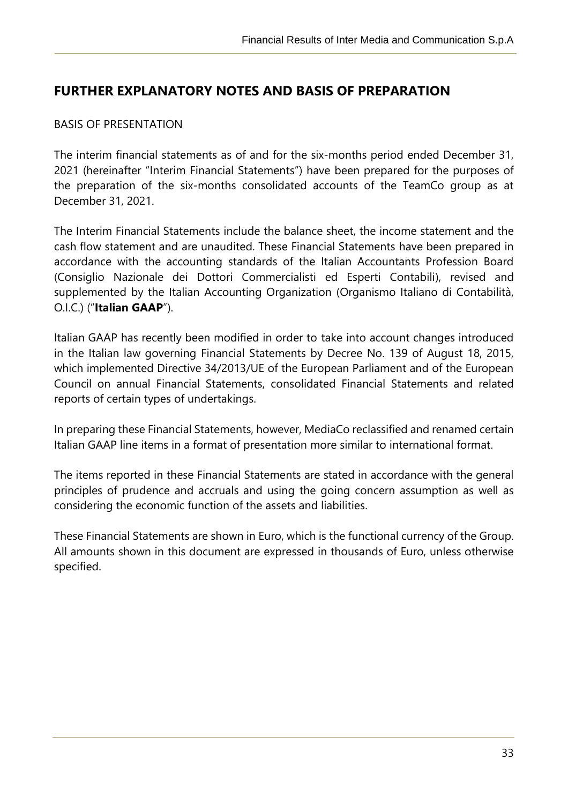# <span id="page-32-0"></span>**FURTHER EXPLANATORY NOTES AND BASIS OF PREPARATION**

#### <span id="page-32-1"></span>BASIS OF PRESENTATION

j

The interim financial statements as of and for the six-months period ended December 31, 2021 (hereinafter "Interim Financial Statements") have been prepared for the purposes of the preparation of the six-months consolidated accounts of the TeamCo group as at December 31, 2021.

The Interim Financial Statements include the balance sheet, the income statement and the cash flow statement and are unaudited. These Financial Statements have been prepared in accordance with the accounting standards of the Italian Accountants Profession Board (Consiglio Nazionale dei Dottori Commercialisti ed Esperti Contabili), revised and supplemented by the Italian Accounting Organization (Organismo Italiano di Contabilità, O.I.C.) ("**Italian GAAP**").

Italian GAAP has recently been modified in order to take into account changes introduced in the Italian law governing Financial Statements by Decree No. 139 of August 18, 2015, which implemented Directive 34/2013/UE of the European Parliament and of the European Council on annual Financial Statements, consolidated Financial Statements and related reports of certain types of undertakings.

In preparing these Financial Statements, however, MediaCo reclassified and renamed certain Italian GAAP line items in a format of presentation more similar to international format.

The items reported in these Financial Statements are stated in accordance with the general principles of prudence and accruals and using the going concern assumption as well as considering the economic function of the assets and liabilities.

These Financial Statements are shown in Euro, which is the functional currency of the Group. All amounts shown in this document are expressed in thousands of Euro, unless otherwise specified.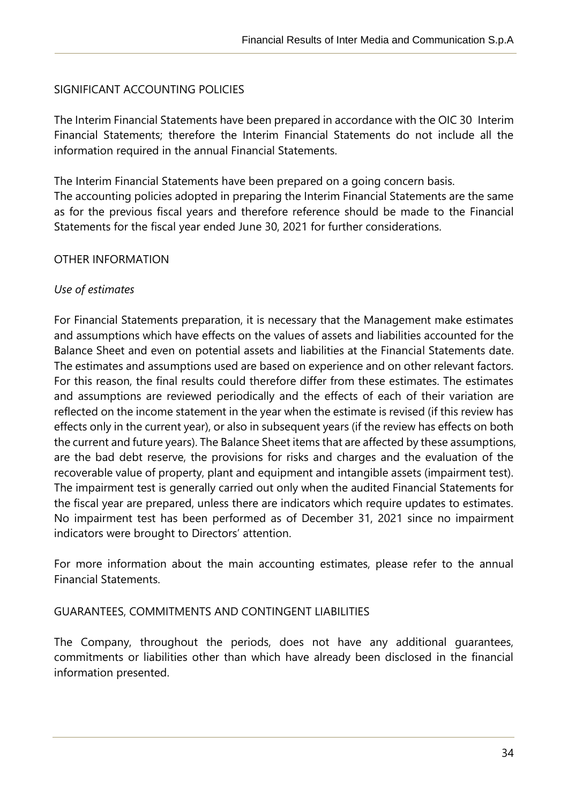#### <span id="page-33-0"></span>SIGNIFICANT ACCOUNTING POLICIES

The Interim Financial Statements have been prepared in accordance with the OIC 30 Interim Financial Statements; therefore the Interim Financial Statements do not include all the information required in the annual Financial Statements.

The Interim Financial Statements have been prepared on a going concern basis. The accounting policies adopted in preparing the Interim Financial Statements are the same as for the previous fiscal years and therefore reference should be made to the Financial Statements for the fiscal year ended June 30, 2021 for further considerations.

#### <span id="page-33-1"></span>OTHER INFORMATION

#### *Use of estimates*

j

For Financial Statements preparation, it is necessary that the Management make estimates and assumptions which have effects on the values of assets and liabilities accounted for the Balance Sheet and even on potential assets and liabilities at the Financial Statements date. The estimates and assumptions used are based on experience and on other relevant factors. For this reason, the final results could therefore differ from these estimates. The estimates and assumptions are reviewed periodically and the effects of each of their variation are reflected on the income statement in the year when the estimate is revised (if this review has effects only in the current year), or also in subsequent years (if the review has effects on both the current and future years). The Balance Sheet items that are affected by these assumptions, are the bad debt reserve, the provisions for risks and charges and the evaluation of the recoverable value of property, plant and equipment and intangible assets (impairment test). The impairment test is generally carried out only when the audited Financial Statements for the fiscal year are prepared, unless there are indicators which require updates to estimates. No impairment test has been performed as of December 31, 2021 since no impairment indicators were brought to Directors' attention.

For more information about the main accounting estimates, please refer to the annual Financial Statements.

#### <span id="page-33-2"></span>GUARANTEES, COMMITMENTS AND CONTINGENT LIABILITIES

The Company, throughout the periods, does not have any additional guarantees, commitments or liabilities other than which have already been disclosed in the financial information presented.